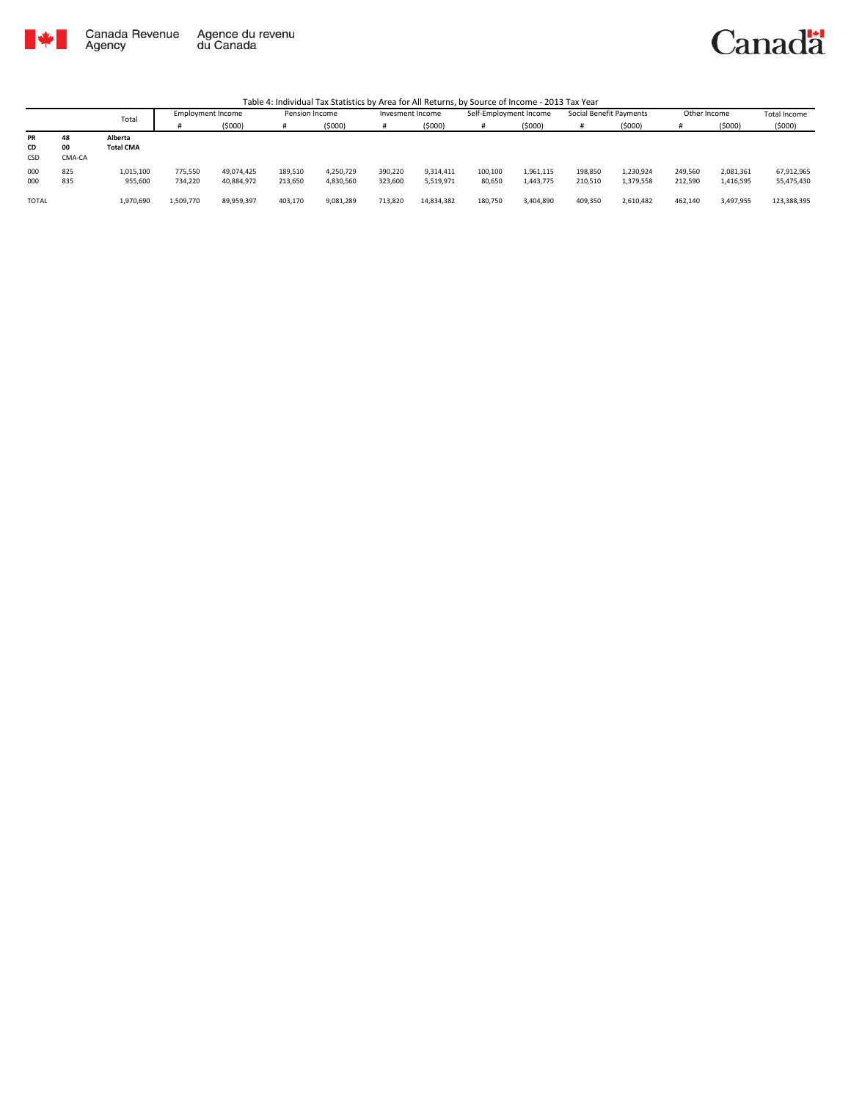

#### Canadä

|                 |                    | Total                       | <b>Employment Income</b> |                          | Pension Income     |                        | Invesment Income   |                        | Self-Employment Income |                        | Social Benefit Payments |                        | Other Income       |                        | <b>Total Income</b>      |
|-----------------|--------------------|-----------------------------|--------------------------|--------------------------|--------------------|------------------------|--------------------|------------------------|------------------------|------------------------|-------------------------|------------------------|--------------------|------------------------|--------------------------|
|                 |                    |                             |                          | (\$000)                  | #                  | (5000)                 |                    | (\$000)                |                        | (5000)                 | #                       | (5000)                 |                    | (5000)                 | (5000)                   |
| PR<br>CD<br>CSD | 48<br>00<br>CMA-CA | Alberta<br><b>Total CMA</b> |                          |                          |                    |                        |                    |                        |                        |                        |                         |                        |                    |                        |                          |
| 000<br>000      | 825<br>835         | 1,015,100<br>955,600        | 775,550<br>734,220       | 49,074,425<br>40,884,972 | 189,510<br>213,650 | 4,250,729<br>4,830,560 | 390,220<br>323,600 | 9,314,411<br>5,519,971 | 100,100<br>80,650      | 1,961,115<br>1,443,775 | 198,850<br>210,510      | 1,230,924<br>1,379,558 | 249,560<br>212,590 | 2,081,361<br>1,416,595 | 67,912,965<br>55,475,430 |
| <b>TOTAL</b>    |                    | 1,970,690                   | 1,509,770                | 89,959,397               | 403,170            | 9,081,289              | 713,820            | 14,834,382             | 180,750                | 3,404,890              | 409,350                 | 2,610,482              | 462,140            | 3,497,955              | 123,388,395              |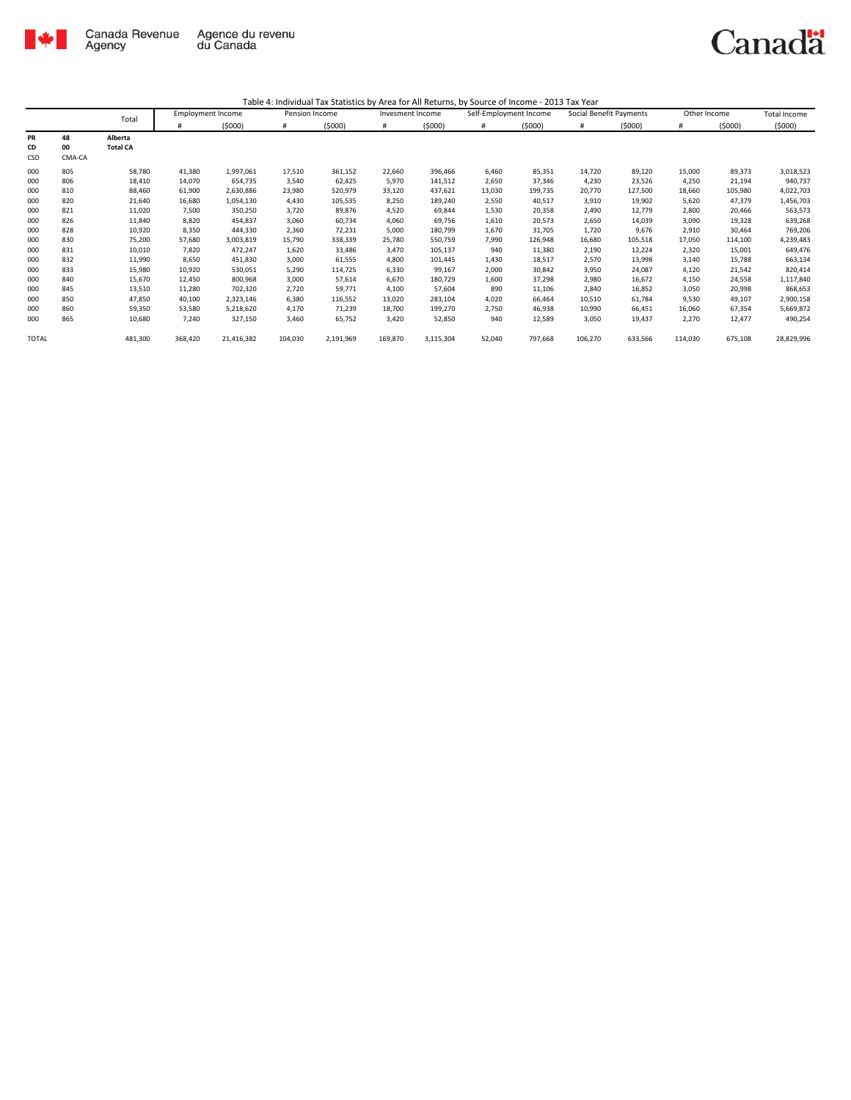

|       |        | Total           | <b>Employment Income</b> |            | Pension Income |           | Invesment Income |           | Self-Employment Income |         | Social Benefit Payments |         | Other Income |         | <b>Total Income</b> |
|-------|--------|-----------------|--------------------------|------------|----------------|-----------|------------------|-----------|------------------------|---------|-------------------------|---------|--------------|---------|---------------------|
|       |        |                 | #                        | (5000)     | #              | (5000)    | #                | (5000)    | #                      | (5000)  | #                       | (5000)  | #            | (5000)  | (5000)              |
| PR    | 48     | Alberta         |                          |            |                |           |                  |           |                        |         |                         |         |              |         |                     |
| CD    | 00     | <b>Total CA</b> |                          |            |                |           |                  |           |                        |         |                         |         |              |         |                     |
| CSD   | CMA-CA |                 |                          |            |                |           |                  |           |                        |         |                         |         |              |         |                     |
| 000   | 805    | 58,780          | 41,380                   | 1,997,061  | 17,510         | 361,152   | 22,660           | 396,466   | 6,460                  | 85,351  | 14,720                  | 89,120  | 15,000       | 89,373  | 3,018,523           |
| 000   | 806    | 18,410          | 14,070                   | 654,735    | 3,540          | 62,425    | 5,970            | 141,512   | 2,650                  | 37,346  | 4,230                   | 23,526  | 4,250        | 21,194  | 940,737             |
| 000   | 810    | 88,460          | 61,900                   | 2,630,886  | 23,980         | 520,979   | 33,120           | 437,621   | 13,030                 | 199,735 | 20,770                  | 127,500 | 18,660       | 105,980 | 4,022,703           |
| 000   | 820    | 21,640          | 16,680                   | 1,054,130  | 4,430          | 105,535   | 8,250            | 189,240   | 2,550                  | 40,517  | 3,910                   | 19,902  | 5,620        | 47,379  | 1,456,703           |
| 000   | 821    | 11,020          | 7,500                    | 350,250    | 3,720          | 89,876    | 4,520            | 69,844    | 1,530                  | 20,358  | 2,490                   | 12,779  | 2,800        | 20,466  | 563,573             |
| 000   | 826    | 11,840          | 8,820                    | 454,837    | 3,060          | 60,734    | 4,060            | 69,756    | 1,610                  | 20,573  | 2,650                   | 14,039  | 3,090        | 19,328  | 639,268             |
| 000   | 828    | 10,920          | 8,350                    | 444,330    | 2,360          | 72,231    | 5,000            | 180,799   | 1,670                  | 31,705  | 1,720                   | 9,676   | 2,910        | 30,464  | 769,206             |
| 000   | 830    | 75,200          | 57,680                   | 3,003,819  | 15,790         | 338,339   | 25,780           | 550,759   | 7,990                  | 126,948 | 16,680                  | 105,518 | 17,050       | 114,100 | 4,239,483           |
| 000   | 831    | 10,010          | 7,820                    | 472,247    | 1,620          | 33,486    | 3,470            | 105,137   | 940                    | 11,380  | 2,190                   | 12,224  | 2,320        | 15,001  | 649,476             |
| 000   | 832    | 11,990          | 8,650                    | 451,830    | 3,000          | 61,555    | 4,800            | 101,445   | 1,430                  | 18,517  | 2,570                   | 13,998  | 3,140        | 15,788  | 663,134             |
| 000   | 833    | 15,980          | 10,920                   | 530,051    | 5,290          | 114,725   | 6,330            | 99,167    | 2,000                  | 30,842  | 3,950                   | 24,087  | 4,120        | 21,542  | 820,414             |
| 000   | 840    | 15,670          | 12,450                   | 800,968    | 3,000          | 57,614    | 6,670            | 180,729   | 1,600                  | 37,298  | 2,980                   | 16,672  | 4,150        | 24,558  | 1,117,840           |
| 000   | 845    | 13,510          | 11,280                   | 702,320    | 2,720          | 59,771    | 4,100            | 57,604    | 890                    | 11,106  | 2,840                   | 16,852  | 3,050        | 20,998  | 868,653             |
| 000   | 850    | 47,850          | 40,100                   | 2,323,146  | 6,380          | 116,552   | 13,020           | 283,104   | 4,020                  | 66,464  | 10,510                  | 61,784  | 9,530        | 49,107  | 2,900,158           |
| 000   | 860    | 59,350          | 53,580                   | 5,218,620  | 4,170          | 71,239    | 18,700           | 199,270   | 2,750                  | 46,938  | 10,990                  | 66,451  | 16,060       | 67,354  | 5,669,872           |
| 000   | 865    | 10,680          | 7,240                    | 327,150    | 3,460          | 65,752    | 3,420            | 52,850    | 940                    | 12,589  | 3,050                   | 19,437  | 2,270        | 12.477  | 490,254             |
| TOTAL |        | 481,300         | 368,420                  | 21,416,382 | 104,030        | 2,191,969 | 169,870          | 3,115,304 | 52,040                 | 797,668 | 106,270                 | 633,566 | 114,030      | 675,108 | 28,829,996          |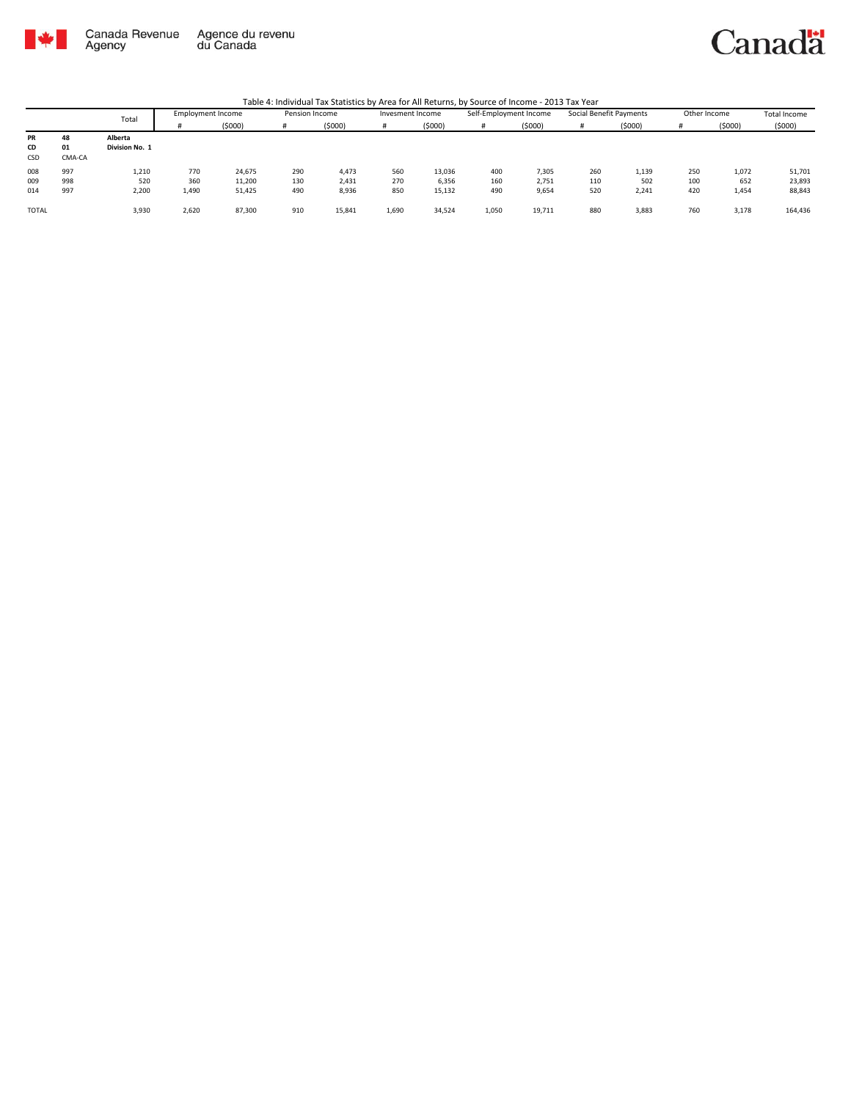

Canadä

|                 |                    | Total                     | <b>Employment Income</b> |         | Pension Income |        | Invesment Income |        | Self-Employment Income |        | Social Benefit Payments |        | Other Income |        | Total Income |
|-----------------|--------------------|---------------------------|--------------------------|---------|----------------|--------|------------------|--------|------------------------|--------|-------------------------|--------|--------------|--------|--------------|
|                 |                    |                           |                          | (\$000) | #              | (5000) |                  | (5000) |                        | (5000) |                         | (5000) |              | (5000) | (5000)       |
| PR<br>CD<br>CSD | 48<br>01<br>CMA-CA | Alberta<br>Division No. 1 |                          |         |                |        |                  |        |                        |        |                         |        |              |        |              |
| 008             | 997                | 1,210                     | 770                      | 24,675  | 290            | 4,473  | 560              | 13,036 | 400                    | 7,305  | 260                     | 1,139  | 250          | 1,072  | 51,701       |
| 009             | 998                | 520                       | 360                      | 11,200  | 130            | 2,431  | 270              | 6,356  | 160                    | 2,751  | 110                     | 502    | 100          | 652    | 23,893       |
| 014             | 997                | 2,200                     | 1,490                    | 51,425  | 490            | 8,936  | 850              | 15,132 | 490                    | 9,654  | 520                     | 2,241  | 420          | 1,454  | 88,843       |
| <b>TOTAL</b>    |                    | 3,930                     | 2,620                    | 87,300  | 910            | 15,841 | 1,690            | 34,524 | 1,050                  | 19,711 | 880                     | 3,883  | 760          | 3,178  | 164,436      |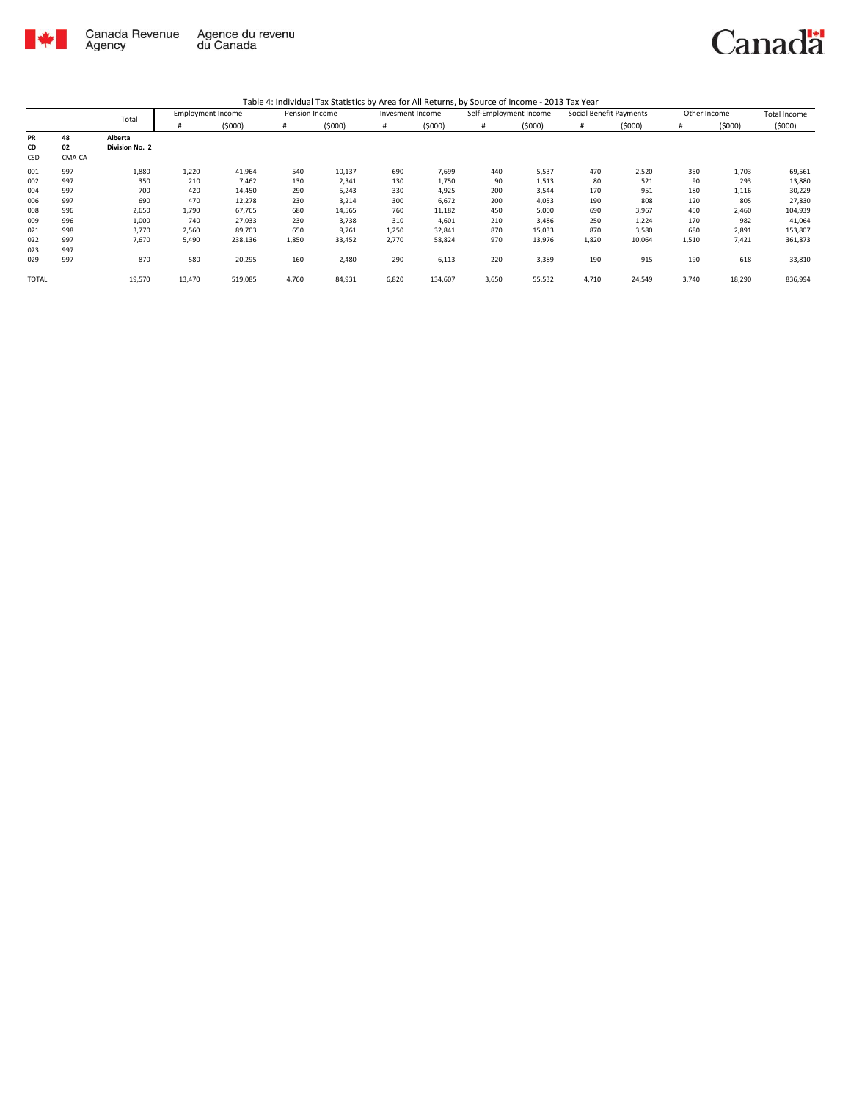

|              |        | Total          |        | <b>Employment Income</b> | Pension Income |        | Invesment Income |         | Self-Employment Income |        | Social Benefit Payments |        | Other Income |        | <b>Total Income</b> |
|--------------|--------|----------------|--------|--------------------------|----------------|--------|------------------|---------|------------------------|--------|-------------------------|--------|--------------|--------|---------------------|
|              |        |                | #      | (5000)                   | #              | (5000) | #                | (5000)  | #                      | (5000) | #                       | (5000) | #            | (5000) | (5000)              |
| PR           | 48     | Alberta        |        |                          |                |        |                  |         |                        |        |                         |        |              |        |                     |
| CD           | 02     | Division No. 2 |        |                          |                |        |                  |         |                        |        |                         |        |              |        |                     |
| CSD          | CMA-CA |                |        |                          |                |        |                  |         |                        |        |                         |        |              |        |                     |
| 001          | 997    | 1,880          | 1,220  | 41,964                   | 540            | 10,137 | 690              | 7,699   | 440                    | 5,537  | 470                     | 2,520  | 350          | 1,703  | 69,561              |
| 002          | 997    | 350            | 210    | 7,462                    | 130            | 2,341  | 130              | 1,750   | 90                     | 1,513  | 80                      | 521    | 90           | 293    | 13,880              |
| 004          | 997    | 700            | 420    | 14,450                   | 290            | 5,243  | 330              | 4,925   | 200                    | 3,544  | 170                     | 951    | 180          | 1,116  | 30,229              |
| 006          | 997    | 690            | 470    | 12,278                   | 230            | 3,214  | 300              | 6,672   | 200                    | 4,053  | 190                     | 808    | 120          | 805    | 27,830              |
| 008          | 996    | 2,650          | 1,790  | 67,765                   | 680            | 14,565 | 760              | 11,182  | 450                    | 5,000  | 690                     | 3,967  | 450          | 2,460  | 104,939             |
| 009          | 996    | 1,000          | 740    | 27,033                   | 230            | 3,738  | 310              | 4,601   | 210                    | 3,486  | 250                     | 1,224  | 170          | 982    | 41,064              |
| 021          | 998    | 3,770          | 2,560  | 89,703                   | 650            | 9,761  | 1,250            | 32,841  | 870                    | 15,033 | 870                     | 3,580  | 680          | 2,891  | 153,807             |
| 022          | 997    | 7,670          | 5,490  | 238,136                  | 1,850          | 33,452 | 2,770            | 58,824  | 970                    | 13,976 | 1,820                   | 10,064 | 1,510        | 7,421  | 361,873             |
| 023          | 997    |                |        |                          |                |        |                  |         |                        |        |                         |        |              |        |                     |
| 029          | 997    | 870            | 580    | 20,295                   | 160            | 2,480  | 290              | 6,113   | 220                    | 3,389  | 190                     | 915    | 190          | 618    | 33,810              |
| <b>TOTAL</b> |        | 19,570         | 13,470 | 519,085                  | 4,760          | 84,931 | 6,820            | 134,607 | 3,650                  | 55,532 | 4,710                   | 24,549 | 3,740        | 18,290 | 836,994             |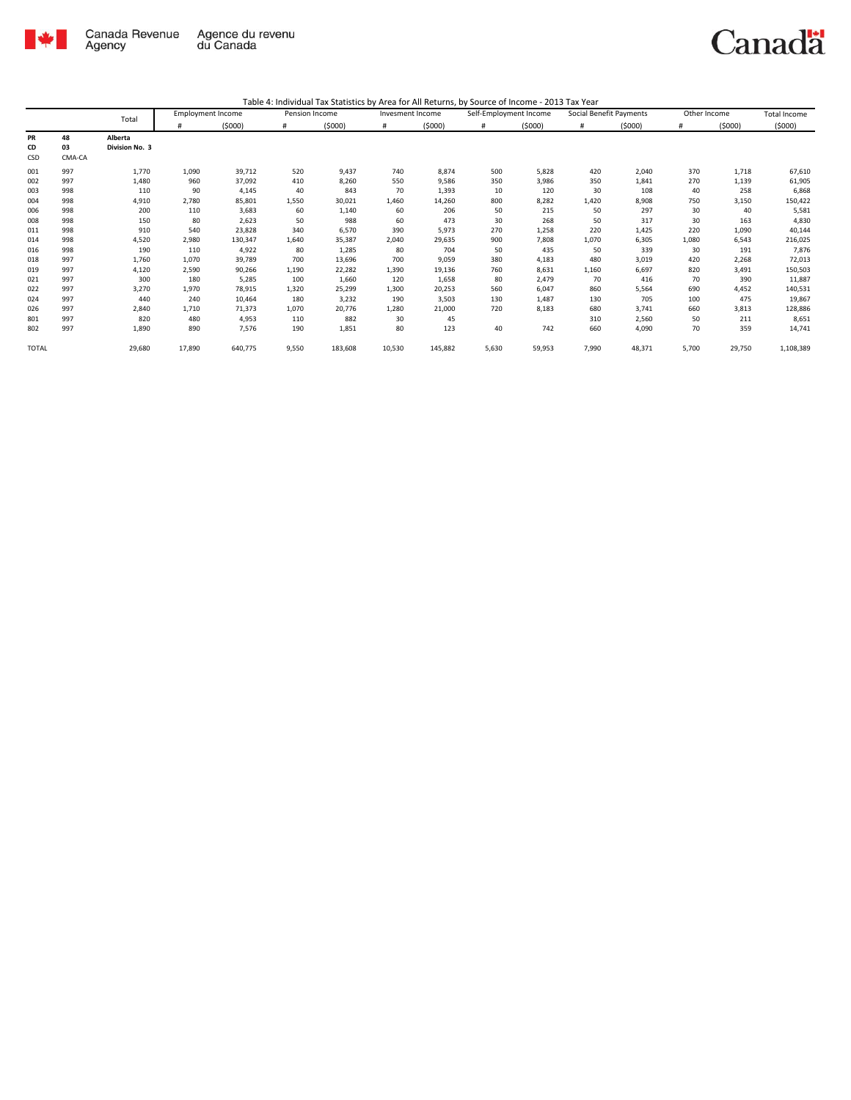

|              |        | Total          |        | <b>Employment Income</b> | Pension Income |         | Invesment Income |         | Self-Employment Income |        | Social Benefit Payments |        | Other Income |        | <b>Total Income</b> |
|--------------|--------|----------------|--------|--------------------------|----------------|---------|------------------|---------|------------------------|--------|-------------------------|--------|--------------|--------|---------------------|
|              |        |                | #      | (5000)                   | #              | (5000)  | #                | (5000)  | #                      | (5000) | #                       | (5000) | #            | (5000) | (5000)              |
| PR           | 48     | Alberta        |        |                          |                |         |                  |         |                        |        |                         |        |              |        |                     |
| CD           | 03     | Division No. 3 |        |                          |                |         |                  |         |                        |        |                         |        |              |        |                     |
| CSD          | CMA-CA |                |        |                          |                |         |                  |         |                        |        |                         |        |              |        |                     |
| 001          | 997    | 1,770          | 1,090  | 39,712                   | 520            | 9,437   | 740              | 8,874   | 500                    | 5,828  | 420                     | 2,040  | 370          | 1,718  | 67,610              |
| 002          | 997    | 1,480          | 960    | 37,092                   | 410            | 8,260   | 550              | 9,586   | 350                    | 3,986  | 350                     | 1.841  | 270          | 1,139  | 61,905              |
| 003          | 998    | 110            | 90     | 4,145                    | 40             | 843     | 70               | 1,393   | 10                     | 120    | 30                      | 108    | 40           | 258    | 6,868               |
| 004          | 998    | 4,910          | 2,780  | 85,801                   | 1,550          | 30,021  | 1,460            | 14,260  | 800                    | 8,282  | 1,420                   | 8,908  | 750          | 3,150  | 150,422             |
| 006          | 998    | 200            | 110    | 3,683                    | 60             | 1,140   | 60               | 206     | 50                     | 215    | 50                      | 297    | 30           | 40     | 5,581               |
| 008          | 998    | 150            | 80     | 2,623                    | 50             | 988     | 60               | 473     | 30                     | 268    | 50                      | 317    | 30           | 163    | 4,830               |
| 011          | 998    | 910            | 540    | 23,828                   | 340            | 6,570   | 390              | 5,973   | 270                    | 1,258  | 220                     | 1,425  | 220          | 1,090  | 40,144              |
| 014          | 998    | 4,520          | 2,980  | 130,347                  | 1,640          | 35,387  | 2,040            | 29,635  | 900                    | 7,808  | 1,070                   | 6,305  | 1,080        | 6,543  | 216,025             |
| 016          | 998    | 190            | 110    | 4,922                    | 80             | 1,285   | 80               | 704     | 50                     | 435    | 50                      | 339    | 30           | 191    | 7,876               |
| 018          | 997    | 1,760          | 1,070  | 39,789                   | 700            | 13,696  | 700              | 9,059   | 380                    | 4,183  | 480                     | 3,019  | 420          | 2,268  | 72,013              |
| 019          | 997    | 4,120          | 2,590  | 90,266                   | 1,190          | 22,282  | 1,390            | 19,136  | 760                    | 8,631  | 1,160                   | 6,697  | 820          | 3,491  | 150,503             |
| 021          | 997    | 300            | 180    | 5,285                    | 100            | 1,660   | 120              | 1,658   | 80                     | 2,479  | 70                      | 416    | 70           | 390    | 11,887              |
| 022          | 997    | 3,270          | 1,970  | 78,915                   | 1,320          | 25,299  | 1,300            | 20,253  | 560                    | 6,047  | 860                     | 5,564  | 690          | 4,452  | 140,531             |
| 024          | 997    | 440            | 240    | 10,464                   | 180            | 3,232   | 190              | 3,503   | 130                    | 1.487  | 130                     | 705    | 100          | 475    | 19,867              |
| 026          | 997    | 2,840          | 1,710  | 71,373                   | 1,070          | 20,776  | 1,280            | 21,000  | 720                    | 8,183  | 680                     | 3,741  | 660          | 3,813  | 128,886             |
| 801          | 997    | 820            | 480    | 4,953                    | 110            | 882     | 30               | 45      |                        |        | 310                     | 2,560  | 50           | 211    | 8,651               |
| 802          | 997    | 1,890          | 890    | 7,576                    | 190            | 1,851   | 80               | 123     | 40                     | 742    | 660                     | 4,090  | 70           | 359    | 14,741              |
| <b>TOTAL</b> |        | 29,680         | 17,890 | 640,775                  | 9,550          | 183,608 | 10,530           | 145,882 | 5,630                  | 59,953 | 7,990                   | 48,371 | 5,700        | 29,750 | 1,108,389           |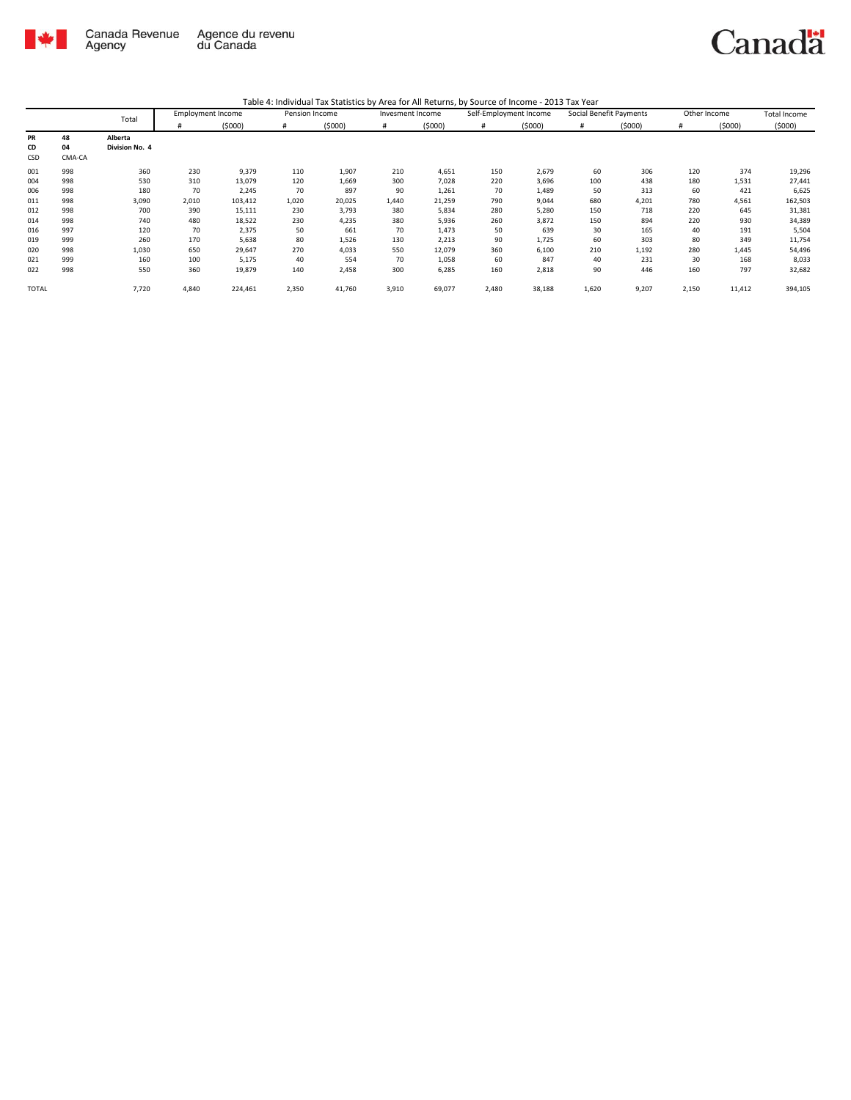

|--|

|       |        | Total          |       | <b>Employment Income</b> | Pension Income |        | Invesment Income |        | Self-Employment Income |        | Social Benefit Payments |        | Other Income |        | Total Income |
|-------|--------|----------------|-------|--------------------------|----------------|--------|------------------|--------|------------------------|--------|-------------------------|--------|--------------|--------|--------------|
|       |        |                | #     | (5000)                   | #              | (5000) | #                | (5000) | #                      | (5000) | #                       | (5000) | #            | (5000) | (5000)       |
| PR    | 48     | Alberta        |       |                          |                |        |                  |        |                        |        |                         |        |              |        |              |
| CD    | 04     | Division No. 4 |       |                          |                |        |                  |        |                        |        |                         |        |              |        |              |
| CSD   | CMA-CA |                |       |                          |                |        |                  |        |                        |        |                         |        |              |        |              |
| 001   | 998    | 360            | 230   | 9,379                    | 110            | 1,907  | 210              | 4,651  | 150                    | 2,679  | 60                      | 306    | 120          | 374    | 19,296       |
| 004   | 998    | 530            | 310   | 13,079                   | 120            | 1,669  | 300              | 7,028  | 220                    | 3,696  | 100                     | 438    | 180          | 1,531  | 27,441       |
| 006   | 998    | 180            | 70    | 2,245                    | 70             | 897    | 90               | 1,261  | 70                     | 1,489  | 50                      | 313    | 60           | 421    | 6,625        |
| 011   | 998    | 3,090          | 2,010 | 103,412                  | 1,020          | 20,025 | 1,440            | 21,259 | 790                    | 9,044  | 680                     | 4,201  | 780          | 4,561  | 162,503      |
| 012   | 998    | 700            | 390   | 15,111                   | 230            | 3,793  | 380              | 5,834  | 280                    | 5,280  | 150                     | 718    | 220          | 645    | 31,381       |
| 014   | 998    | 740            | 480   | 18,522                   | 230            | 4,235  | 380              | 5,936  | 260                    | 3,872  | 150                     | 894    | 220          | 930    | 34,389       |
| 016   | 997    | 120            | 70    | 2,375                    | 50             | 661    | 70               | 1,473  | 50                     | 639    | 30                      | 165    | 40           | 191    | 5,504        |
| 019   | 999    | 260            | 170   | 5,638                    | 80             | 1,526  | 130              | 2,213  | 90                     | 1,725  | 60                      | 303    | 80           | 349    | 11,754       |
| 020   | 998    | 1,030          | 650   | 29,647                   | 270            | 4,033  | 550              | 12,079 | 360                    | 6,100  | 210                     | 1,192  | 280          | 1,445  | 54,496       |
| 021   | 999    | 160            | 100   | 5,175                    | 40             | 554    | 70               | 1,058  | 60                     | 847    | 40                      | 231    | 30           | 168    | 8,033        |
| 022   | 998    | 550            | 360   | 19,879                   | 140            | 2,458  | 300              | 6,285  | 160                    | 2,818  | 90                      | 446    | 160          | 797    | 32,682       |
| TOTAL |        | 7,720          | 4,840 | 224,461                  | 2,350          | 41,760 | 3,910            | 69,077 | 2,480                  | 38,188 | 1,620                   | 9,207  | 2,150        | 11,412 | 394,105      |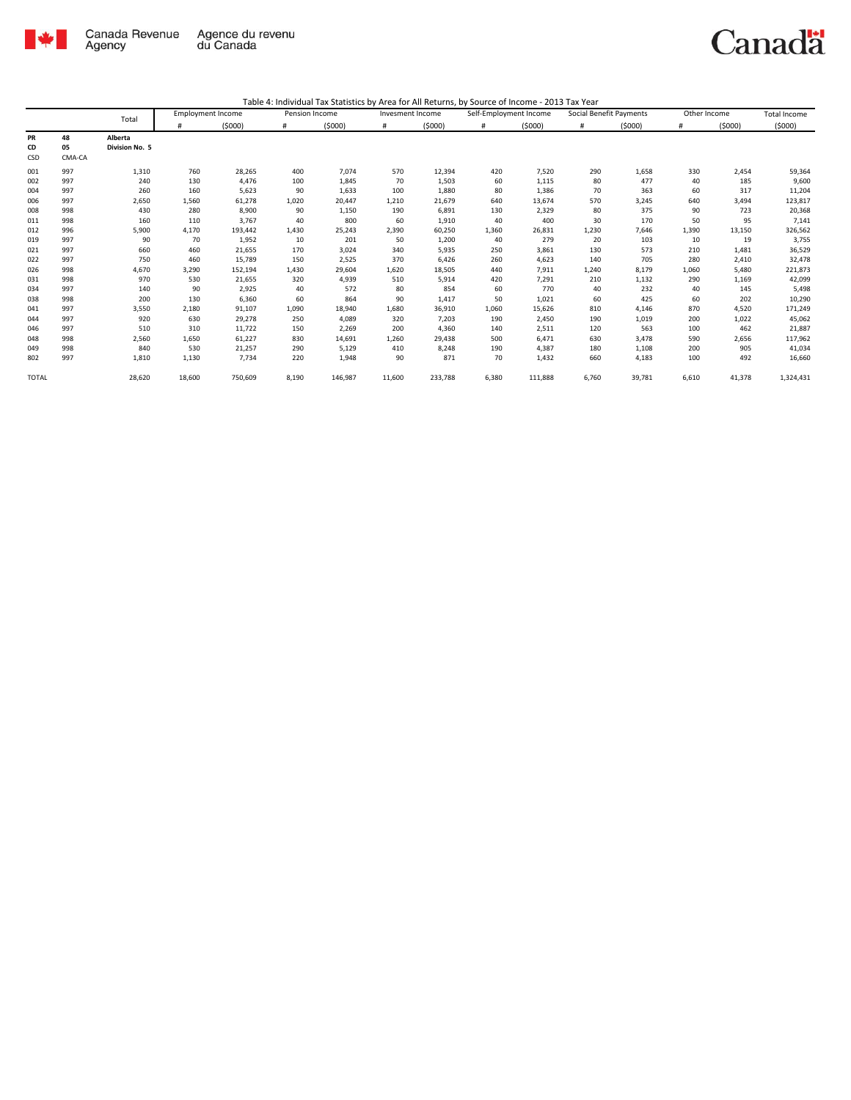

|                        |                    |                           | <b>Employment Income</b> |         | Pension Income |         | Invesment Income |         | Self-Employment Income |         | Social Benefit Payments |        | Other Income |        | <b>Total Income</b> |
|------------------------|--------------------|---------------------------|--------------------------|---------|----------------|---------|------------------|---------|------------------------|---------|-------------------------|--------|--------------|--------|---------------------|
|                        |                    | Total                     |                          | (5000)  | #              | (5000)  | #                | (5000)  | #                      | (5000)  | #                       | (5000) | #            | (5000) | (5000)              |
| <b>PR</b><br>CD<br>CSD | 48<br>05<br>CMA-CA | Alberta<br>Division No. 5 |                          |         |                |         |                  |         |                        |         |                         |        |              |        |                     |
| 001                    | 997                | 1,310                     | 760                      | 28,265  | 400            | 7,074   | 570              | 12,394  | 420                    | 7,520   | 290                     | 1,658  | 330          | 2,454  | 59,364              |
| 002                    | 997                | 240                       | 130                      | 4,476   | 100            | 1,845   | 70               | 1,503   | 60                     | 1,115   | 80                      | 477    | 40           | 185    | 9,600               |
| 004                    | 997                | 260                       | 160                      | 5,623   | 90             | 1,633   | 100              | 1,880   | 80                     | 1,386   | 70                      | 363    | 60           | 317    | 11,204              |
| 006                    | 997                | 2,650                     | 1,560                    | 61,278  | 1,020          | 20,447  | 1,210            | 21,679  | 640                    | 13,674  | 570                     | 3,245  | 640          | 3,494  | 123,817             |
| 008                    | 998                | 430                       | 280                      | 8,900   | 90             | 1,150   | 190              | 6,891   | 130                    | 2,329   | 80                      | 375    | 90           | 723    | 20,368              |
| 011                    | 998                | 160                       | 110                      | 3,767   | 40             | 800     | 60               | 1,910   | 40                     | 400     | 30                      | 170    | 50           | 95     | 7,141               |
| 012                    | 996                | 5,900                     | 4,170                    | 193,442 | 1,430          | 25,243  | 2,390            | 60,250  | 1,360                  | 26,831  | 1,230                   | 7,646  | 1,390        | 13,150 | 326,562             |
| 019                    | 997                | 90                        | 70                       | 1,952   | 10             | 201     | 50               | 1,200   | 40                     | 279     | 20                      | 103    | 10           | 19     | 3,755               |
| 021                    | 997                | 660                       | 460                      | 21,655  | 170            | 3,024   | 340              | 5,935   | 250                    | 3,861   | 130                     | 573    | 210          | 1,481  | 36,529              |
| 022                    | 997                | 750                       | 460                      | 15,789  | 150            | 2,525   | 370              | 6,426   | 260                    | 4,623   | 140                     | 705    | 280          | 2,410  | 32,478              |
| 026                    | 998                | 4,670                     | 3,290                    | 152,194 | 1,430          | 29,604  | 1,620            | 18,505  | 440                    | 7,911   | 1,240                   | 8,179  | 1,060        | 5,480  | 221,873             |
| 031                    | 998                | 970                       | 530                      | 21,655  | 320            | 4,939   | 510              | 5,914   | 420                    | 7,291   | 210                     | 1,132  | 290          | 1,169  | 42,099              |
| 034                    | 997                | 140                       | 90                       | 2,925   | 40             | 572     | 80               | 854     | 60                     | 770     | 40                      | 232    | 40           | 145    | 5,498               |
| 038                    | 998                | 200                       | 130                      | 6,360   | 60             | 864     | 90               | 1,417   | 50                     | 1,021   | 60                      | 425    | 60           | 202    | 10,290              |
| 041                    | 997                | 3,550                     | 2,180                    | 91,107  | 1,090          | 18,940  | 1,680            | 36,910  | 1,060                  | 15,626  | 810                     | 4,146  | 870          | 4,520  | 171,249             |
| 044                    | 997                | 920                       | 630                      | 29,278  | 250            | 4,089   | 320              | 7,203   | 190                    | 2,450   | 190                     | 1,019  | 200          | 1,022  | 45,062              |
| 046                    | 997                | 510                       | 310                      | 11,722  | 150            | 2,269   | 200              | 4,360   | 140                    | 2,511   | 120                     | 563    | 100          | 462    | 21,887              |
| 048                    | 998                | 2,560                     | 1,650                    | 61,227  | 830            | 14,691  | 1,260            | 29,438  | 500                    | 6,471   | 630                     | 3,478  | 590          | 2,656  | 117,962             |
| 049                    | 998                | 840                       | 530                      | 21,257  | 290            | 5,129   | 410              | 8,248   | 190                    | 4,387   | 180                     | 1,108  | 200          | 905    | 41,034              |
| 802                    | 997                | 1,810                     | 1,130                    | 7,734   | 220            | 1,948   | 90               | 871     | 70                     | 1,432   | 660                     | 4,183  | 100          | 492    | 16,660              |
| <b>TOTAL</b>           |                    | 28,620                    | 18,600                   | 750,609 | 8,190          | 146,987 | 11,600           | 233,788 | 6,380                  | 111,888 | 6,760                   | 39,781 | 6,610        | 41,378 | 1,324,431           |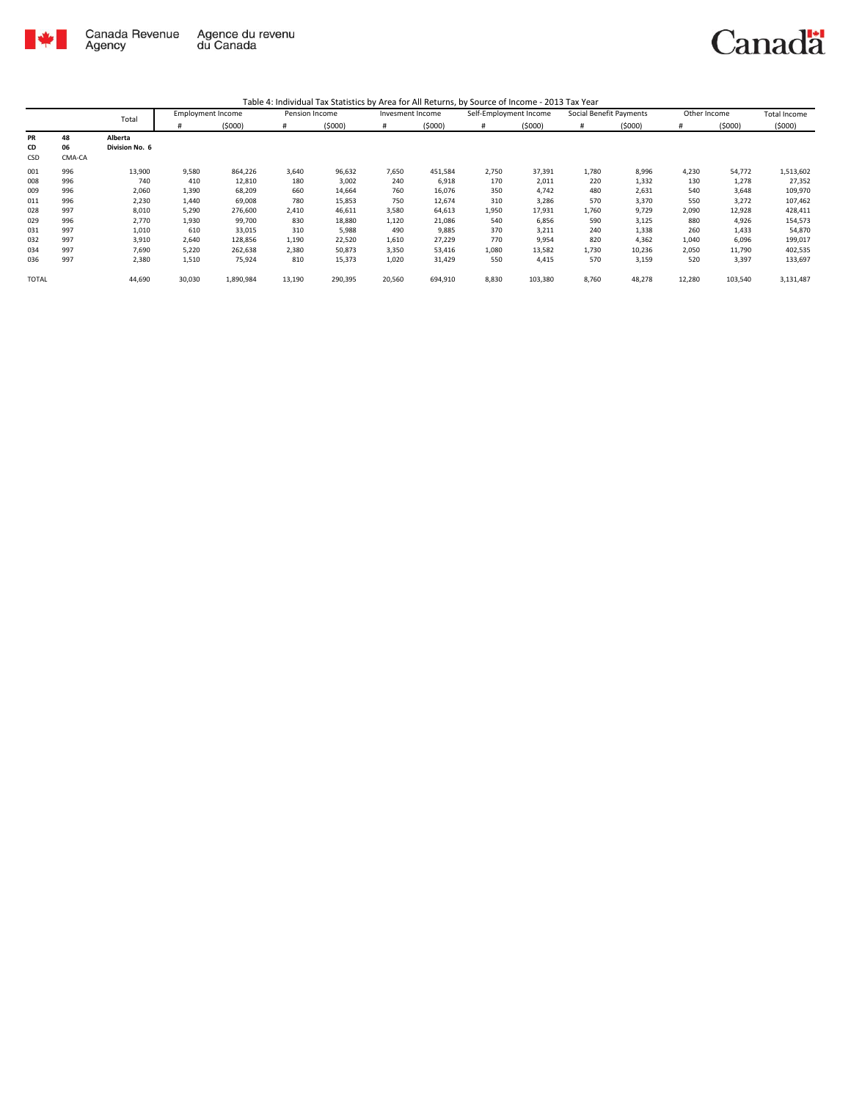

|              |        | Total          | <b>Employment Income</b> |           | Pension Income |         | Invesment Income |         | Self-Employment Income |         | Social Benefit Payments |        | Other Income |         | Total Income |
|--------------|--------|----------------|--------------------------|-----------|----------------|---------|------------------|---------|------------------------|---------|-------------------------|--------|--------------|---------|--------------|
|              |        |                | #                        | (5000)    | #              | (5000)  | #                | (5000)  | #                      | (5000)  | #                       | (5000) | #            | (5000)  | (5000)       |
| <b>PR</b>    | 48     | Alberta        |                          |           |                |         |                  |         |                        |         |                         |        |              |         |              |
| CD           | 06     | Division No. 6 |                          |           |                |         |                  |         |                        |         |                         |        |              |         |              |
| CSD          | CMA-CA |                |                          |           |                |         |                  |         |                        |         |                         |        |              |         |              |
| 001          | 996    | 13,900         | 9,580                    | 864,226   | 3,640          | 96,632  | 7,650            | 451,584 | 2,750                  | 37,391  | 1,780                   | 8,996  | 4,230        | 54,772  | 1,513,602    |
| 008          | 996    | 740            | 410                      | 12,810    | 180            | 3,002   | 240              | 6,918   | 170                    | 2,011   | 220                     | 1,332  | 130          | 1,278   | 27,352       |
| 009          | 996    | 2,060          | 1,390                    | 68,209    | 660            | 14,664  | 760              | 16,076  | 350                    | 4.742   | 480                     | 2,631  | 540          | 3,648   | 109,970      |
| 011          | 996    | 2,230          | 1,440                    | 69,008    | 780            | 15,853  | 750              | 12,674  | 310                    | 3,286   | 570                     | 3,370  | 550          | 3,272   | 107,462      |
| 028          | 997    | 8,010          | 5,290                    | 276,600   | 2,410          | 46,611  | 3,580            | 64,613  | 1,950                  | 17,931  | 1,760                   | 9,729  | 2,090        | 12,928  | 428,411      |
| 029          | 996    | 2,770          | 1,930                    | 99,700    | 830            | 18,880  | 1,120            | 21,086  | 540                    | 6,856   | 590                     | 3,125  | 880          | 4,926   | 154,573      |
| 031          | 997    | 1,010          | 610                      | 33,015    | 310            | 5,988   | 490              | 9,885   | 370                    | 3,211   | 240                     | 1,338  | 260          | 1,433   | 54,870       |
| 032          | 997    | 3,910          | 2,640                    | 128,856   | 1,190          | 22,520  | 1,610            | 27,229  | 770                    | 9,954   | 820                     | 4,362  | 1,040        | 6,096   | 199,017      |
| 034          | 997    | 7,690          | 5,220                    | 262,638   | 2,380          | 50,873  | 3,350            | 53,416  | 1,080                  | 13,582  | 1,730                   | 10,236 | 2,050        | 11,790  | 402,535      |
| 036          | 997    | 2,380          | 1,510                    | 75,924    | 810            | 15,373  | 1,020            | 31,429  | 550                    | 4,415   | 570                     | 3,159  | 520          | 3,397   | 133,697      |
| <b>TOTAL</b> |        | 44,690         | 30,030                   | 1,890,984 | 13,190         | 290,395 | 20,560           | 694,910 | 8,830                  | 103,380 | 8,760                   | 48,278 | 12,280       | 103,540 | 3,131,487    |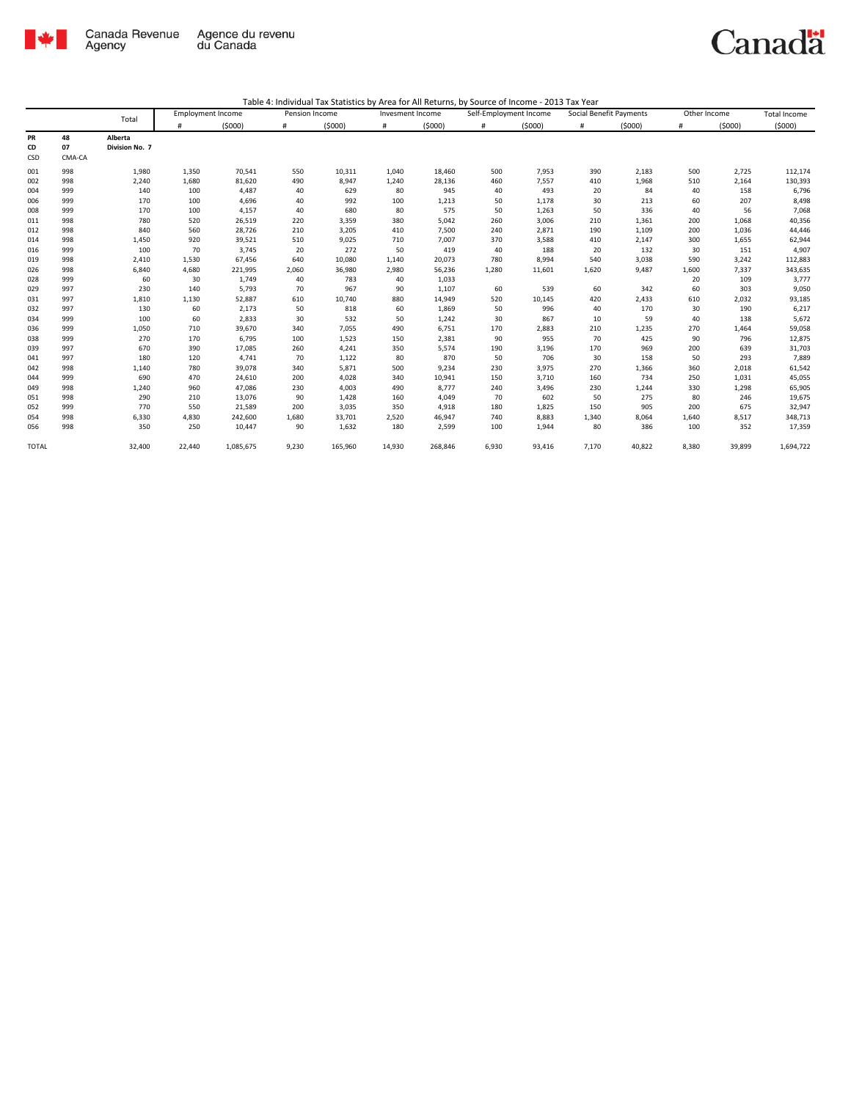

|                 |                    |                           | <b>Employment Income</b> |           | Pension Income |         | Invesment Income |         | Self-Employment Income |        | Social Benefit Payments |        | Other Income |        | <b>Total Income</b> |
|-----------------|--------------------|---------------------------|--------------------------|-----------|----------------|---------|------------------|---------|------------------------|--------|-------------------------|--------|--------------|--------|---------------------|
|                 |                    | Total                     | #                        | (5000)    | #              | (5000)  | #                | (5000)  | #                      | (5000) | #                       | (5000) | #            | (5000) | (5000)              |
| PR<br>CD<br>CSD | 48<br>07<br>CMA-CA | Alberta<br>Division No. 7 |                          |           |                |         |                  |         |                        |        |                         |        |              |        |                     |
| 001             | 998                | 1,980                     | 1,350                    | 70,541    | 550            | 10,311  | 1,040            | 18,460  | 500                    | 7,953  | 390                     | 2,183  | 500          | 2,725  | 112,174             |
| 002             | 998                | 2,240                     | 1,680                    | 81,620    | 490            | 8,947   | 1,240            | 28,136  | 460                    | 7,557  | 410                     | 1,968  | 510          | 2,164  | 130,393             |
| 004             | 999                | 140                       | 100                      | 4,487     | 40             | 629     | 80               | 945     | 40                     | 493    | 20                      | 84     | 40           | 158    | 6,796               |
| 006             | 999                | 170                       | 100                      | 4,696     | 40             | 992     | 100              | 1,213   | 50                     | 1,178  | 30                      | 213    | 60           | 207    | 8,498               |
| 008             | 999                | 170                       | 100                      | 4,157     | 40             | 680     | 80               | 575     | 50                     | 1,263  | 50                      | 336    | 40           | 56     | 7,068               |
| 011             | 998                | 780                       | 520                      | 26,519    | 220            | 3,359   | 380              | 5,042   | 260                    | 3,006  | 210                     | 1,361  | 200          | 1,068  | 40,356              |
| 012             | 998                | 840                       | 560                      | 28,726    | 210            | 3,205   | 410              | 7,500   | 240                    | 2,871  | 190                     | 1,109  | 200          | 1,036  | 44,446              |
| 014             | 998                | 1,450                     | 920                      | 39,521    | 510            | 9,025   | 710              | 7,007   | 370                    | 3,588  | 410                     | 2,147  | 300          | 1,655  | 62,944              |
| 016             | 999                | 100                       | 70                       | 3,745     | 20             | 272     | 50               | 419     | 40                     | 188    | 20                      | 132    | 30           | 151    | 4,907               |
| 019             | 998                | 2,410                     | 1,530                    | 67,456    | 640            | 10,080  | 1,140            | 20,073  | 780                    | 8,994  | 540                     | 3,038  | 590          | 3,242  | 112,883             |
| 026             | 998                | 6,840                     | 4,680                    | 221,995   | 2,060          | 36,980  | 2,980            | 56,236  | 1,280                  | 11,601 | 1,620                   | 9,487  | 1,600        | 7,337  | 343,635             |
| 028             | 999                | 60                        | 30                       | 1,749     | 40             | 783     | 40               | 1,033   |                        |        |                         |        | 20           | 109    | 3,777               |
| 029             | 997                | 230                       | 140                      | 5,793     | 70             | 967     | 90               | 1,107   | 60                     | 539    | 60                      | 342    | 60           | 303    | 9,050               |
| 031             | 997                | 1,810                     | 1,130                    | 52,887    | 610            | 10,740  | 880              | 14,949  | 520                    | 10,145 | 420                     | 2,433  | 610          | 2,032  | 93,185              |
| 032             | 997                | 130                       | 60                       | 2,173     | 50             | 818     | 60               | 1,869   | 50                     | 996    | 40                      | 170    | 30           | 190    | 6,217               |
| 034             | 999                | 100                       | 60                       | 2,833     | 30             | 532     | 50               | 1,242   | 30                     | 867    | 10                      | 59     | 40           | 138    | 5,672               |
| 036             | 999                | 1,050                     | 710                      | 39,670    | 340            | 7,055   | 490              | 6,751   | 170                    | 2,883  | 210                     | 1,235  | 270          | 1,464  | 59,058              |
| 038             | 999                | 270                       | 170                      | 6,795     | 100            | 1,523   | 150              | 2,381   | 90                     | 955    | 70                      | 425    | 90           | 796    | 12,875              |
| 039             | 997                | 670                       | 390                      | 17,085    | 260            | 4,241   | 350              | 5,574   | 190                    | 3,196  | 170                     | 969    | 200          | 639    | 31,703              |
| 041             | 997                | 180                       | 120                      | 4,741     | 70             | 1,122   | 80               | 870     | 50                     | 706    | 30                      | 158    | 50           | 293    | 7,889               |
| 042             | 998                | 1,140                     | 780                      | 39,078    | 340            | 5,871   | 500              | 9,234   | 230                    | 3,975  | 270                     | 1,366  | 360          | 2,018  | 61,542              |
| 044             | 999                | 690                       | 470                      | 24,610    | 200            | 4,028   | 340              | 10,941  | 150                    | 3,710  | 160                     | 734    | 250          | 1,031  | 45,055              |
| 049             | 998                | 1,240                     | 960                      | 47,086    | 230            | 4,003   | 490              | 8,777   | 240                    | 3,496  | 230                     | 1,244  | 330          | 1,298  | 65,905              |
| 051             | 998                | 290                       | 210                      | 13,076    | 90             | 1,428   | 160              | 4.049   | 70                     | 602    | 50                      | 275    | 80           | 246    | 19,675              |
| 052             | 999                | 770                       | 550                      | 21,589    | 200            | 3,035   | 350              | 4,918   | 180                    | 1,825  | 150                     | 905    | 200          | 675    | 32,947              |
| 054             | 998                | 6,330                     | 4,830                    | 242,600   | 1,680          | 33,701  | 2,520            | 46,947  | 740                    | 8,883  | 1,340                   | 8,064  | 1,640        | 8,517  | 348,713             |
| 056             | 998                | 350                       | 250                      | 10,447    | 90             | 1,632   | 180              | 2,599   | 100                    | 1,944  | 80                      | 386    | 100          | 352    | 17,359              |
| <b>TOTAL</b>    |                    | 32,400                    | 22,440                   | 1,085,675 | 9,230          | 165,960 | 14,930           | 268,846 | 6,930                  | 93,416 | 7,170                   | 40,822 | 8,380        | 39,899 | 1,694,722           |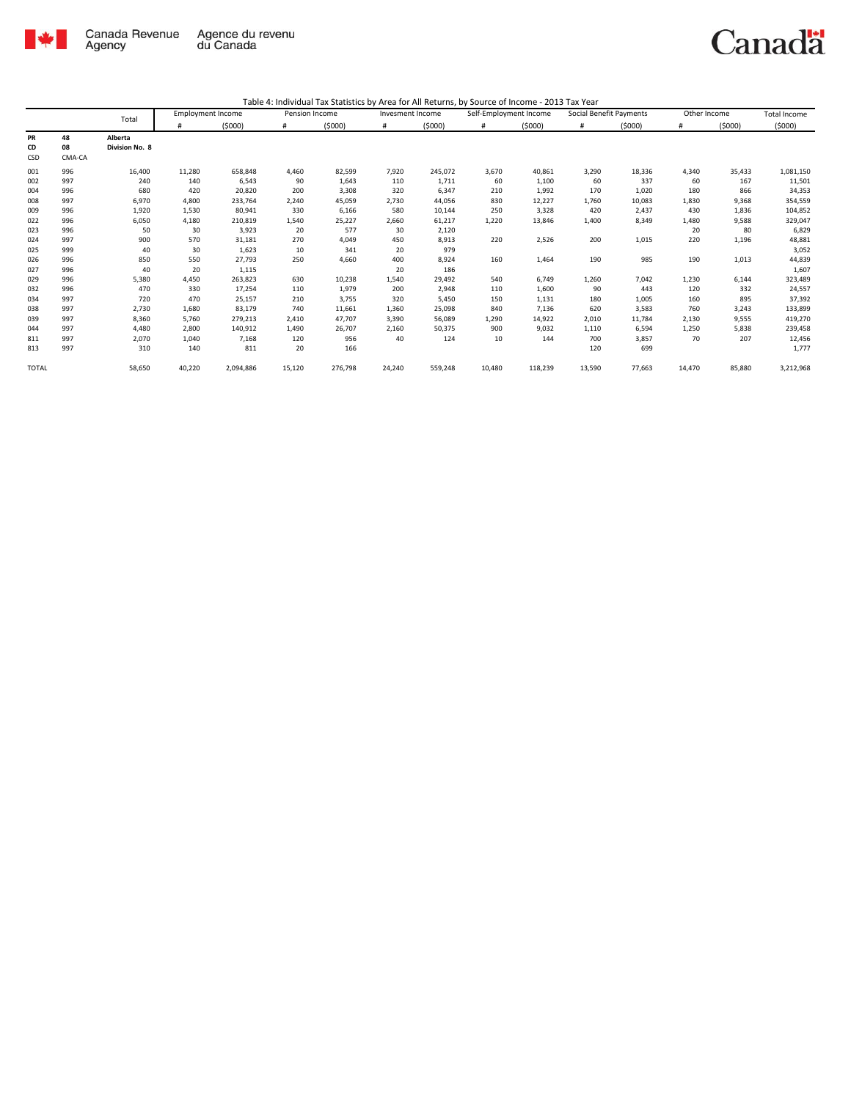

|                        |                    | Total                     | <b>Employment Income</b> |           | Pension Income |         | Invesment Income |         | Self-Employment Income |         | Social Benefit Payments |        | Other Income |        | <b>Total Income</b> |
|------------------------|--------------------|---------------------------|--------------------------|-----------|----------------|---------|------------------|---------|------------------------|---------|-------------------------|--------|--------------|--------|---------------------|
|                        |                    |                           | #                        | (5000)    | #              | (5000)  | #                | (5000)  | #                      | (5000)  | #                       | (5000) | #            | (5000) | (5000)              |
| <b>PR</b><br>CD<br>CSD | 48<br>08<br>CMA-CA | Alberta<br>Division No. 8 |                          |           |                |         |                  |         |                        |         |                         |        |              |        |                     |
| 001                    | 996                | 16,400                    | 11,280                   | 658,848   | 4,460          | 82,599  | 7,920            | 245,072 | 3,670                  | 40,861  | 3,290                   | 18,336 | 4,340        | 35,433 | 1,081,150           |
| 002                    | 997                | 240                       | 140                      | 6,543     | 90             | 1,643   | 110              | 1,711   | 60                     | 1,100   | 60                      | 337    | 60           | 167    | 11,501              |
| 004                    | 996                | 680                       | 420                      | 20,820    | 200            | 3,308   | 320              | 6,347   | 210                    | 1,992   | 170                     | 1,020  | 180          | 866    | 34,353              |
| 008                    | 997                | 6,970                     | 4,800                    | 233,764   | 2,240          | 45,059  | 2,730            | 44,056  | 830                    | 12,227  | 1,760                   | 10,083 | 1,830        | 9,368  | 354,559             |
| 009                    | 996                | 1,920                     | 1,530                    | 80,941    | 330            | 6,166   | 580              | 10,144  | 250                    | 3,328   | 420                     | 2.437  | 430          | 1,836  | 104,852             |
| 022                    | 996                | 6,050                     | 4,180                    | 210,819   | 1,540          | 25,227  | 2,660            | 61,217  | 1,220                  | 13,846  | 1,400                   | 8,349  | 1,480        | 9,588  | 329,047             |
| 023                    | 996                | 50                        | 30                       | 3,923     | 20             | 577     | 30               | 2,120   |                        |         |                         |        | 20           | 80     | 6,829               |
| 024                    | 997                | 900                       | 570                      | 31,181    | 270            | 4,049   | 450              | 8,913   | 220                    | 2,526   | 200                     | 1,015  | 220          | 1,196  | 48,881              |
| 025                    | 999                | 40                        | 30                       | 1,623     | 10             | 341     | 20               | 979     |                        |         |                         |        |              |        | 3,052               |
| 026                    | 996                | 850                       | 550                      | 27,793    | 250            | 4,660   | 400              | 8,924   | 160                    | 1,464   | 190                     | 985    | 190          | 1,013  | 44,839              |
| 027                    | 996                | 40                        | 20                       | 1,115     |                |         | 20               | 186     |                        |         |                         |        |              |        | 1,607               |
| 029                    | 996                | 5,380                     | 4,450                    | 263,823   | 630            | 10,238  | 1,540            | 29,492  | 540                    | 6.749   | 1,260                   | 7,042  | 1,230        | 6,144  | 323,489             |
| 032                    | 996                | 470                       | 330                      | 17,254    | 110            | 1,979   | 200              | 2,948   | 110                    | 1,600   | 90                      | 443    | 120          | 332    | 24,557              |
| 034                    | 997                | 720                       | 470                      | 25,157    | 210            | 3,755   | 320              | 5,450   | 150                    | 1,131   | 180                     | 1,005  | 160          | 895    | 37,392              |
| 038                    | 997                | 2,730                     | 1,680                    | 83,179    | 740            | 11,661  | 1,360            | 25,098  | 840                    | 7,136   | 620                     | 3,583  | 760          | 3,243  | 133,899             |
| 039                    | 997                | 8,360                     | 5,760                    | 279,213   | 2.410          | 47,707  | 3,390            | 56,089  | 1,290                  | 14,922  | 2,010                   | 11,784 | 2,130        | 9,555  | 419,270             |
| 044                    | 997                | 4,480                     | 2.800                    | 140,912   | 1,490          | 26,707  | 2,160            | 50,375  | 900                    | 9,032   | 1,110                   | 6,594  | 1,250        | 5,838  | 239,458             |
| 811                    | 997                | 2,070                     | 1,040                    | 7,168     | 120            | 956     | 40               | 124     | 10                     | 144     | 700                     | 3,857  | 70           | 207    | 12,456              |
| 813                    | 997                | 310                       | 140                      | 811       | 20             | 166     |                  |         |                        |         | 120                     | 699    |              |        | 1,777               |
| <b>TOTAL</b>           |                    | 58,650                    | 40,220                   | 2,094,886 | 15,120         | 276,798 | 24,240           | 559,248 | 10,480                 | 118,239 | 13,590                  | 77,663 | 14,470       | 85,880 | 3,212,968           |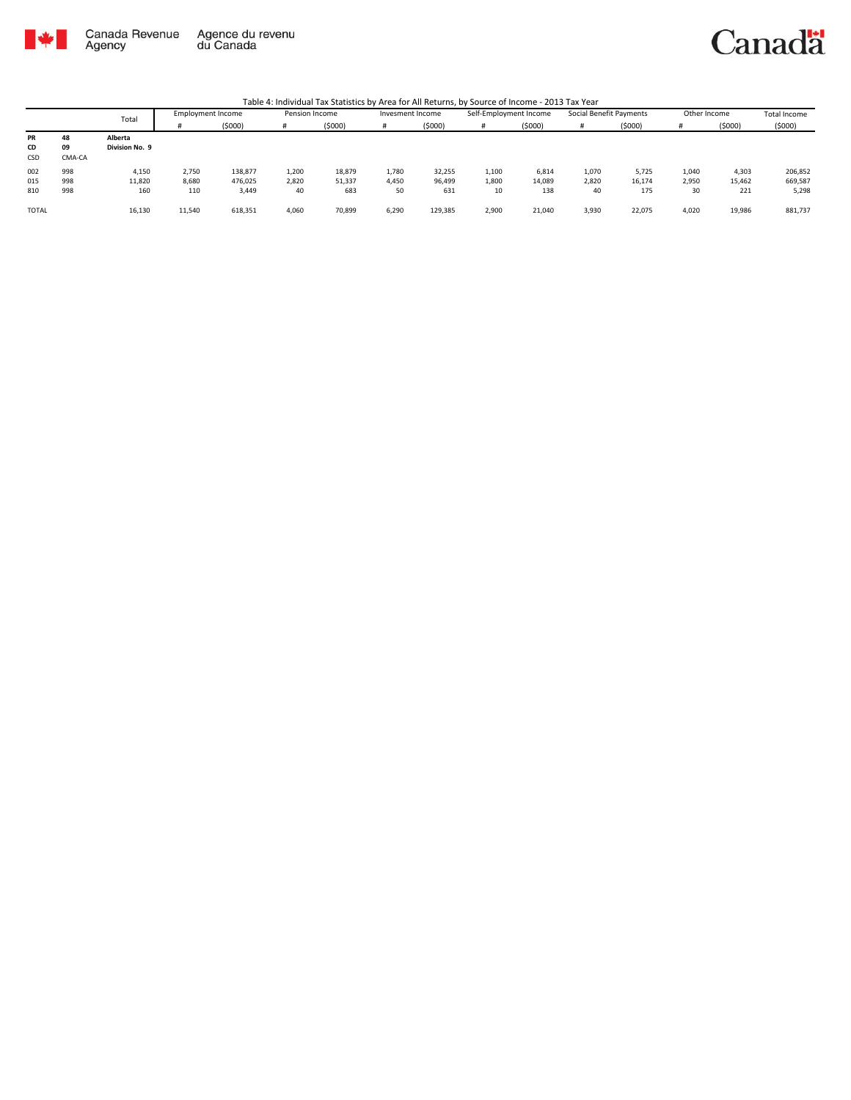

Canadä

|                 |                    | Total                     | Employment Income |         | Pension Income |        | Invesment Income |         | Self-Employment Income |        | Social Benefit Payments |        | Other Income |        | Total Income |
|-----------------|--------------------|---------------------------|-------------------|---------|----------------|--------|------------------|---------|------------------------|--------|-------------------------|--------|--------------|--------|--------------|
|                 |                    |                           |                   | (5000)  |                | (5000) |                  | (5000)  | #                      | (5000) |                         | (5000) |              | (5000) | (5000)       |
| PR<br>CD<br>CSD | 48<br>09<br>CMA-CA | Alberta<br>Division No. 9 |                   |         |                |        |                  |         |                        |        |                         |        |              |        |              |
| 002             | 998                | 4,150                     | 2,750             | 138,877 | 1,200          | 18,879 | 1,780            | 32,255  | 1,100                  | 6,814  | 1,070                   | 5,725  | 1,040        | 4,303  | 206,852      |
| 015             | 998                | 11,820                    | 8,680             | 476.025 | 2,820          | 51,337 | 4,450            | 96,499  | 1,800                  | 14,089 | 2,820                   | 16,174 | 2,950        | 15,462 | 669,587      |
| 810             | 998                | 160                       | 110               | 3,449   | 40             | 683    | 50               | 631     | 10                     | 138    | 40                      | 175    | 30           | 221    | 5,298        |
| <b>TOTAL</b>    |                    | 16,130                    | 11,540            | 618,351 | 4,060          | 70,899 | 6,290            | 129,385 | 2,900                  | 21,040 | 3,930                   | 22,075 | 4,020        | 19,986 | 881,737      |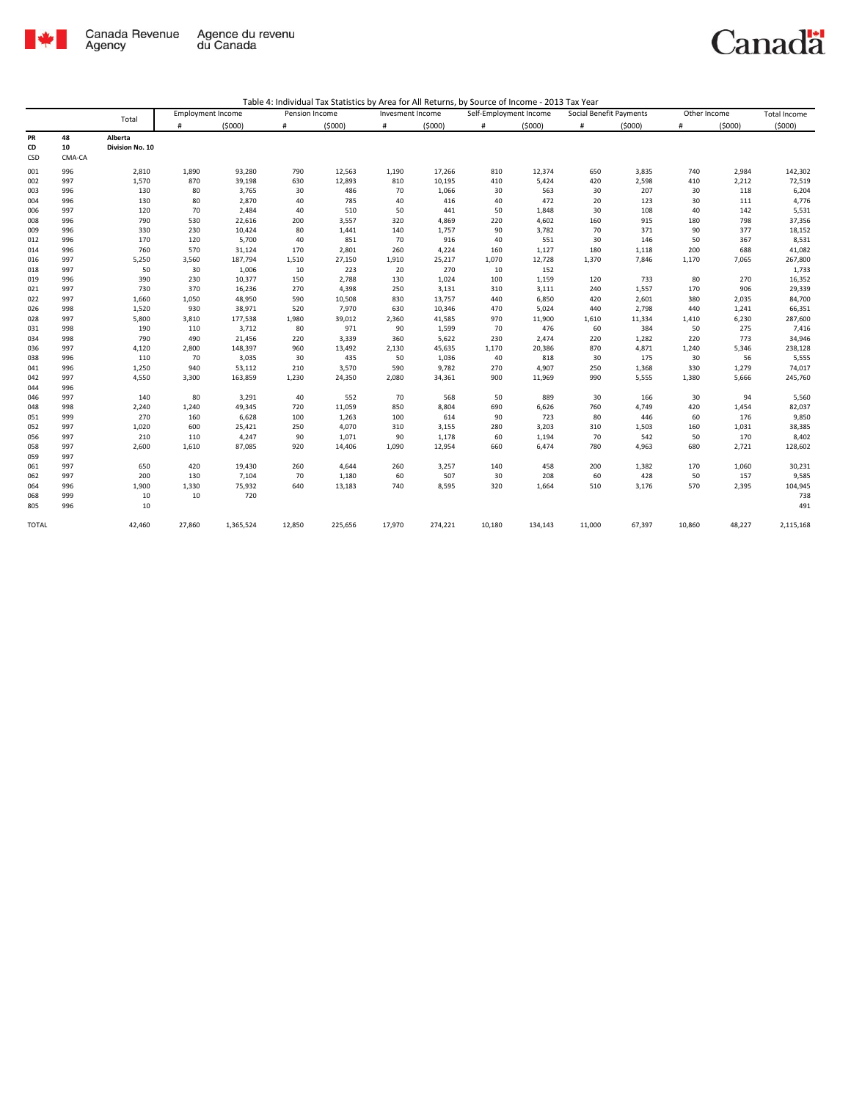

| Table 4: Individual Tax Statistics by Area for All Returns, by Source of Income - 2013 Tax Year |  |  |
|-------------------------------------------------------------------------------------------------|--|--|
|                                                                                                 |  |  |

|              |        |                 | <b>Employment Income</b> |           | Pension Income |         | Invesment Income |         | Self-Employment Income |         | Social Benefit Payments |        | Other Income |        | <b>Total Income</b> |
|--------------|--------|-----------------|--------------------------|-----------|----------------|---------|------------------|---------|------------------------|---------|-------------------------|--------|--------------|--------|---------------------|
|              |        | Total           | #                        | (5000)    | #              | (5000)  | $\#$             | (5000)  | #                      | (5000)  | #                       | (5000) | #            | (5000) | (5000)              |
| PR           | 48     | Alberta         |                          |           |                |         |                  |         |                        |         |                         |        |              |        |                     |
| CD           | 10     | Division No. 10 |                          |           |                |         |                  |         |                        |         |                         |        |              |        |                     |
| CSD          | CMA-CA |                 |                          |           |                |         |                  |         |                        |         |                         |        |              |        |                     |
| 001          | 996    | 2,810           | 1,890                    | 93,280    | 790            | 12,563  | 1,190            | 17,266  | 810                    | 12,374  | 650                     | 3,835  | 740          | 2,984  | 142,302             |
| 002          | 997    | 1,570           | 870                      | 39,198    | 630            | 12,893  | 810              | 10,195  | 410                    | 5,424   | 420                     | 2,598  | 410          | 2,212  | 72,519              |
| 003          | 996    | 130             | 80                       | 3,765     | 30             | 486     | 70               | 1,066   | 30                     | 563     | 30                      | 207    | 30           | 118    | 6,204               |
| 004          | 996    | 130             | 80                       | 2,870     | 40             | 785     | 40               | 416     | 40                     | 472     | 20                      | 123    | 30           | 111    | 4,776               |
| 006          | 997    | 120             | 70                       | 2,484     | 40             | 510     | 50               | 441     | 50                     | 1,848   | 30                      | 108    | 40           | 142    | 5,531               |
| 008          | 996    | 790             | 530                      | 22,616    | 200            | 3,557   | 320              | 4,869   | 220                    | 4,602   | 160                     | 915    | 180          | 798    | 37,356              |
| 009          | 996    | 330             | 230                      | 10,424    | 80             | 1,441   | 140              | 1,757   | 90                     | 3,782   | 70                      | 371    | 90           | 377    | 18,152              |
| 012          | 996    | 170             | 120                      | 5,700     | 40             | 851     | 70               | 916     | 40                     | 551     | 30                      | 146    | 50           | 367    | 8,531               |
| 014          | 996    | 760             | 570                      | 31,124    | 170            | 2,801   | 260              | 4,224   | 160                    | 1,127   | 180                     | 1,118  | 200          | 688    | 41,082              |
| 016          | 997    | 5,250           | 3,560                    | 187,794   | 1,510          | 27,150  | 1,910            | 25,217  | 1,070                  | 12,728  | 1,370                   | 7,846  | 1,170        | 7,065  | 267,800             |
| 018          | 997    | 50              | 30                       | 1,006     | 10             | 223     | 20               | 270     | 10                     | 152     |                         |        |              |        | 1,733               |
| 019          | 996    | 390             | 230                      | 10,377    | 150            | 2,788   | 130              | 1,024   | 100                    | 1,159   | 120                     | 733    | 80           | 270    | 16,352              |
| 021          | 997    | 730             | 370                      | 16,236    | 270            | 4,398   | 250              | 3,131   | 310                    | 3,111   | 240                     | 1,557  | 170          | 906    | 29,339              |
| 022          | 997    | 1,660           | 1,050                    | 48,950    | 590            | 10,508  | 830              | 13,757  | 440                    | 6,850   | 420                     | 2,601  | 380          | 2,035  | 84,700              |
| 026          | 998    | 1,520           | 930                      | 38,971    | 520            | 7,970   | 630              | 10,346  | 470                    | 5,024   | 440                     | 2,798  | 440          | 1,241  | 66,351              |
| 028          | 997    | 5,800           | 3,810                    | 177,538   | 1,980          | 39,012  | 2,360            | 41,585  | 970                    | 11,900  | 1,610                   | 11,334 | 1,410        | 6,230  | 287,600             |
| 031          | 998    | 190             | 110                      | 3,712     | 80             | 971     | 90               | 1,599   | 70                     | 476     | 60                      | 384    | 50           | 275    | 7,416               |
| 034          | 998    | 790             | 490                      | 21,456    | 220            | 3,339   | 360              | 5,622   | 230                    | 2,474   | 220                     | 1,282  | 220          | 773    | 34,946              |
| 036          | 997    | 4,120           | 2,800                    | 148,397   | 960            | 13,492  | 2,130            | 45,635  | 1,170                  | 20,386  | 870                     | 4,871  | 1,240        | 5,346  | 238,128             |
| 038          | 996    | 110             | 70                       | 3,035     | 30             | 435     | 50               | 1,036   | 40                     | 818     | 30                      | 175    | 30           | 56     | 5,555               |
| 041          | 996    | 1,250           | 940                      | 53,112    | 210            | 3,570   | 590              | 9,782   | 270                    | 4,907   | 250                     | 1,368  | 330          | 1,279  | 74,017              |
| 042          | 997    | 4,550           | 3,300                    | 163,859   | 1,230          | 24,350  | 2,080            | 34,361  | 900                    | 11,969  | 990                     | 5,555  | 1,380        | 5,666  | 245,760             |
| 044          | 996    |                 |                          |           |                |         |                  |         |                        |         |                         |        |              |        |                     |
| 046          | 997    | 140             | 80                       | 3,291     | 40             | 552     | 70               | 568     | 50                     | 889     | 30                      | 166    | 30           | 94     | 5,560               |
| 048          | 998    | 2,240           | 1,240                    | 49,345    | 720            | 11,059  | 850              | 8,804   | 690                    | 6,626   | 760                     | 4,749  | 420          | 1,454  | 82,037              |
| 051          | 999    | 270             | 160                      | 6,628     | 100            | 1,263   | 100              | 614     | 90                     | 723     | 80                      | 446    | 60           | 176    | 9,850               |
| 052          | 997    | 1,020           | 600                      | 25,421    | 250            | 4,070   | 310              | 3,155   | 280                    | 3,203   | 310                     | 1,503  | 160          | 1,031  | 38,385              |
| 056          | 997    | 210             | 110                      | 4,247     | 90             | 1,071   | 90               | 1,178   | 60                     | 1,194   | 70                      | 542    | 50           | 170    | 8,402               |
| 058          | 997    | 2,600           | 1,610                    | 87,085    | 920            | 14,406  | 1,090            | 12,954  | 660                    | 6,474   | 780                     | 4,963  | 680          | 2,721  | 128,602             |
| 059          | 997    |                 |                          |           |                |         |                  |         |                        |         |                         |        |              |        |                     |
| 061          | 997    | 650             | 420                      | 19,430    | 260            | 4,644   | 260              | 3,257   | 140                    | 458     | 200                     | 1,382  | 170          | 1,060  | 30,231              |
| 062          | 997    | 200             | 130                      | 7,104     | 70             | 1,180   | 60               | 507     | 30                     | 208     | 60                      | 428    | 50           | 157    | 9,585               |
| 064          | 996    | 1,900           | 1,330                    | 75,932    | 640            | 13,183  | 740              | 8,595   | 320                    | 1,664   | 510                     | 3,176  | 570          | 2,395  | 104,945             |
| 068          | 999    | 10              | 10                       | 720       |                |         |                  |         |                        |         |                         |        |              |        | 738                 |
| 805          | 996    | 10              |                          |           |                |         |                  |         |                        |         |                         |        |              |        | 491                 |
| <b>TOTAL</b> |        | 42,460          | 27,860                   | 1,365,524 | 12,850         | 225,656 | 17,970           | 274,221 | 10,180                 | 134,143 | 11,000                  | 67,397 | 10,860       | 48,227 | 2,115,168           |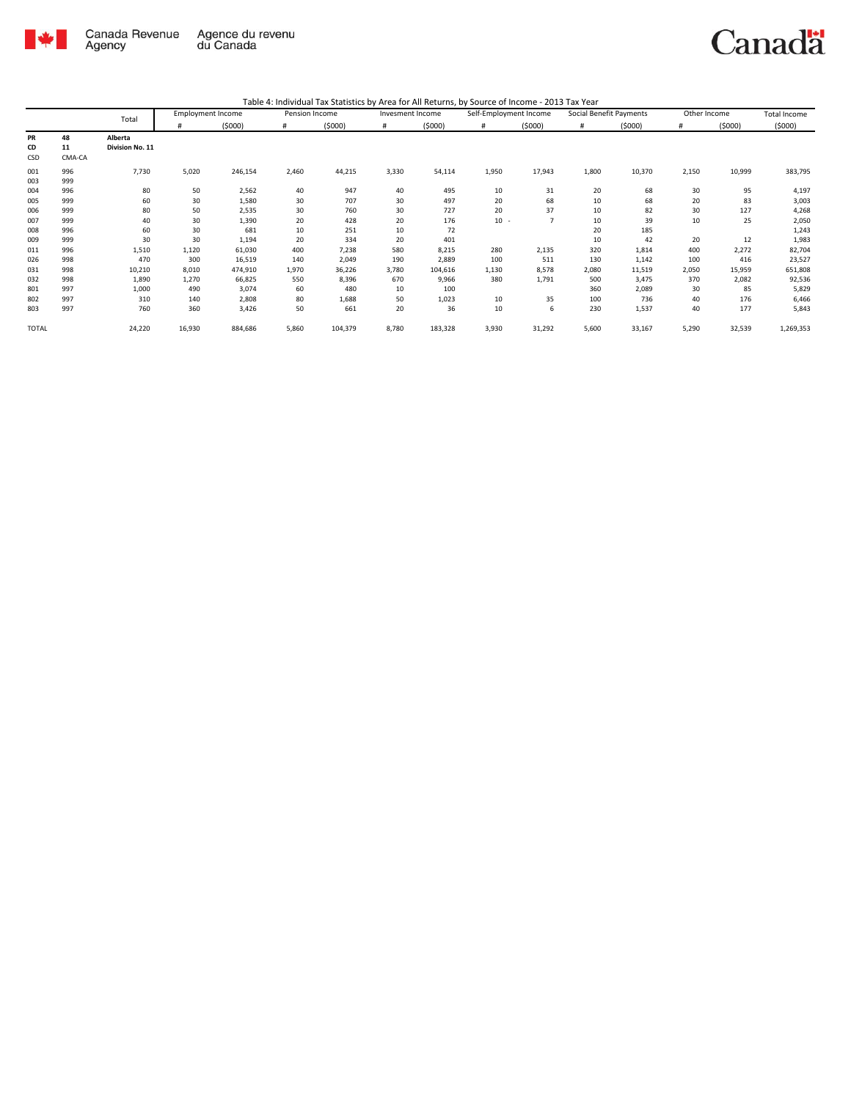

| Table 4: Individual Tax Statistics by Area for All Returns, by Source of Income - 2013 Tax Year |  |  |
|-------------------------------------------------------------------------------------------------|--|--|
|                                                                                                 |  |  |

|              |        | Total           | <b>Employment Income</b> |         | Pension Income |         | Invesment Income |         | Self-Employment Income |        | Social Benefit Payments |        | Other Income |        | <b>Total Income</b> |
|--------------|--------|-----------------|--------------------------|---------|----------------|---------|------------------|---------|------------------------|--------|-------------------------|--------|--------------|--------|---------------------|
|              |        |                 | #                        | (5000)  | #              | (5000)  | #                | (5000)  | #                      | (5000) | #                       | (5000) | #            | (5000) | (5000)              |
| PR           | 48     | Alberta         |                          |         |                |         |                  |         |                        |        |                         |        |              |        |                     |
| CD           | 11     | Division No. 11 |                          |         |                |         |                  |         |                        |        |                         |        |              |        |                     |
| CSD          | CMA-CA |                 |                          |         |                |         |                  |         |                        |        |                         |        |              |        |                     |
| 001          | 996    | 7,730           | 5,020                    | 246,154 | 2,460          | 44,215  | 3,330            | 54,114  | 1,950                  | 17,943 | 1,800                   | 10,370 | 2,150        | 10,999 | 383,795             |
| 003          | 999    |                 |                          |         |                |         |                  |         |                        |        |                         |        |              |        |                     |
| 004          | 996    | 80              | 50                       | 2,562   | 40             | 947     | 40               | 495     | 10                     | 31     | 20                      | 68     | 30           | 95     | 4,197               |
| 005          | 999    | 60              | 30                       | 1,580   | 30             | 707     | 30               | 497     | 20                     | 68     | 10                      | 68     | 20           | 83     | 3,003               |
| 006          | 999    | 80              | 50                       | 2,535   | 30             | 760     | 30               | 727     | 20                     | 37     | 10                      | 82     | 30           | 127    | 4,268               |
| 007          | 999    | 40              | 30                       | 1,390   | 20             | 428     | 20               | 176     | $10 -$                 |        | 10                      | 39     | 10           | 25     | 2,050               |
| 008          | 996    | 60              | 30                       | 681     | 10             | 251     | 10               | 72      |                        |        | 20                      | 185    |              |        | 1,243               |
| 009          | 999    | 30              | 30                       | 1,194   | 20             | 334     | 20               | 401     |                        |        | 10                      | 42     | 20           | 12     | 1,983               |
| 011          | 996    | 1,510           | 1,120                    | 61,030  | 400            | 7,238   | 580              | 8,215   | 280                    | 2,135  | 320                     | 1,814  | 400          | 2,272  | 82,704              |
| 026          | 998    | 470             | 300                      | 16,519  | 140            | 2,049   | 190              | 2,889   | 100                    | 511    | 130                     | 1,142  | 100          | 416    | 23,527              |
| 031          | 998    | 10,210          | 8,010                    | 474,910 | 1,970          | 36,226  | 3,780            | 104,616 | 1,130                  | 8,578  | 2,080                   | 11,519 | 2,050        | 15,959 | 651,808             |
| 032          | 998    | 1,890           | 1,270                    | 66,825  | 550            | 8,396   | 670              | 9,966   | 380                    | 1,791  | 500                     | 3,475  | 370          | 2,082  | 92,536              |
| 801          | 997    | 1,000           | 490                      | 3,074   | 60             | 480     | 10               | 100     |                        |        | 360                     | 2,089  | 30           | 85     | 5,829               |
| 802          | 997    | 310             | 140                      | 2,808   | 80             | 1,688   | 50               | 1,023   | 10                     | 35     | 100                     | 736    | 40           | 176    | 6,466               |
| 803          | 997    | 760             | 360                      | 3,426   | 50             | 661     | 20               | 36      | 10                     | 6      | 230                     | 1,537  | 40           | 177    | 5,843               |
| <b>TOTAL</b> |        | 24,220          | 16,930                   | 884,686 | 5,860          | 104,379 | 8,780            | 183,328 | 3,930                  | 31,292 | 5,600                   | 33,167 | 5,290        | 32,539 | 1,269,353           |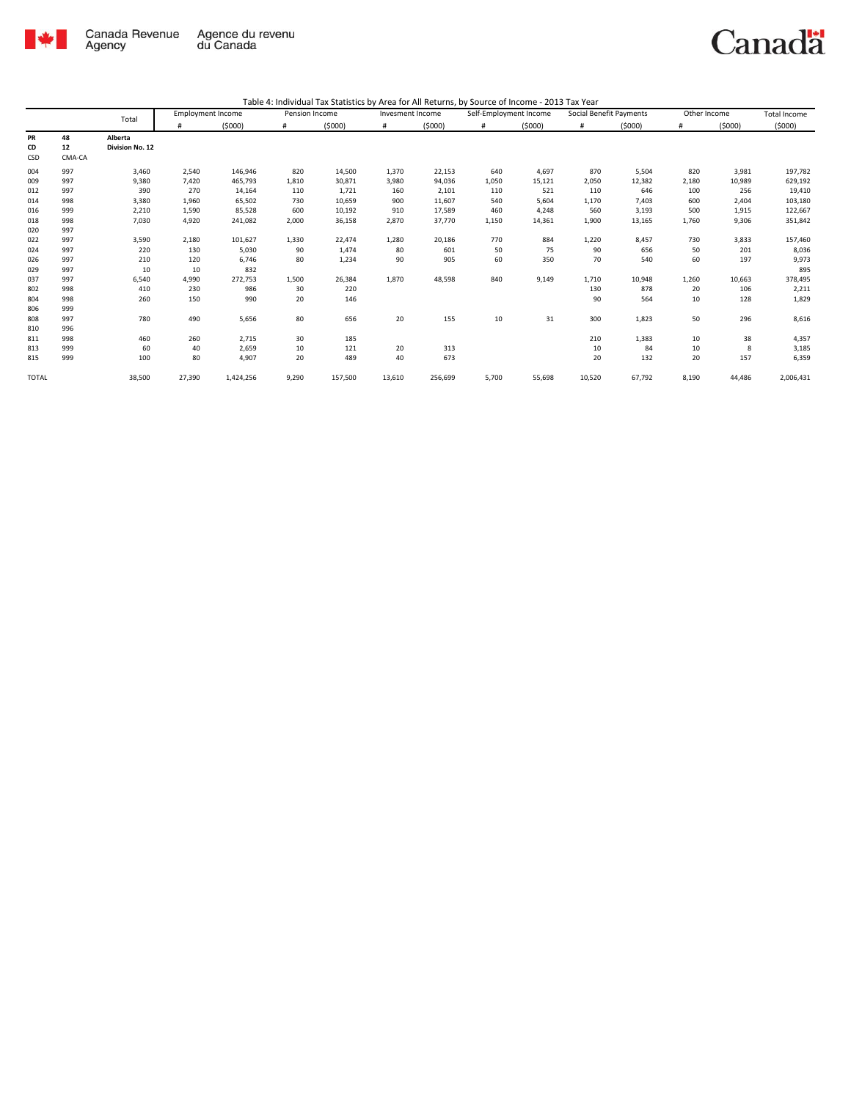

|              | Total  | <b>Employment Income</b> |        | Pension Income |       | Invesment Income |        | Self-Employment Income |       | Social Benefit Payments |        | Other Income |       | <b>Total Income</b> |           |
|--------------|--------|--------------------------|--------|----------------|-------|------------------|--------|------------------------|-------|-------------------------|--------|--------------|-------|---------------------|-----------|
|              |        |                          | #      | (5000)         | #     | (5000)           | #      | (5000)                 | #     | (5000)                  | #      | (5000)       | #     | (5000)              | (5000)    |
| PR           | 48     | Alberta                  |        |                |       |                  |        |                        |       |                         |        |              |       |                     |           |
| CD           | 12     | Division No. 12          |        |                |       |                  |        |                        |       |                         |        |              |       |                     |           |
| CSD          | CMA-CA |                          |        |                |       |                  |        |                        |       |                         |        |              |       |                     |           |
| 004          | 997    | 3,460                    | 2,540  | 146,946        | 820   | 14,500           | 1,370  | 22,153                 | 640   | 4,697                   | 870    | 5,504        | 820   | 3,981               | 197,782   |
| 009          | 997    | 9,380                    | 7,420  | 465,793        | 1,810 | 30,871           | 3,980  | 94,036                 | 1,050 | 15,121                  | 2,050  | 12,382       | 2,180 | 10,989              | 629,192   |
| 012          | 997    | 390                      | 270    | 14,164         | 110   | 1,721            | 160    | 2,101                  | 110   | 521                     | 110    | 646          | 100   | 256                 | 19,410    |
| 014          | 998    | 3,380                    | 1,960  | 65,502         | 730   | 10,659           | 900    | 11,607                 | 540   | 5,604                   | 1,170  | 7,403        | 600   | 2,404               | 103,180   |
| 016          | 999    | 2,210                    | 1,590  | 85,528         | 600   | 10,192           | 910    | 17,589                 | 460   | 4,248                   | 560    | 3,193        | 500   | 1,915               | 122,667   |
| 018          | 998    | 7,030                    | 4,920  | 241,082        | 2,000 | 36,158           | 2,870  | 37,770                 | 1,150 | 14,361                  | 1,900  | 13,165       | 1,760 | 9,306               | 351,842   |
| 020          | 997    |                          |        |                |       |                  |        |                        |       |                         |        |              |       |                     |           |
| 022          | 997    | 3,590                    | 2,180  | 101,627        | 1,330 | 22,474           | 1,280  | 20,186                 | 770   | 884                     | 1,220  | 8,457        | 730   | 3,833               | 157,460   |
| 024          | 997    | 220                      | 130    | 5,030          | 90    | 1,474            | 80     | 601                    | 50    | 75                      | 90     | 656          | 50    | 201                 | 8,036     |
| 026          | 997    | 210                      | 120    | 6,746          | 80    | 1,234            | 90     | 905                    | 60    | 350                     | 70     | 540          | 60    | 197                 | 9,973     |
| 029          | 997    | 10                       | 10     | 832            |       |                  |        |                        |       |                         |        |              |       |                     | 895       |
| 037          | 997    | 6,540                    | 4,990  | 272,753        | 1,500 | 26,384           | 1,870  | 48,598                 | 840   | 9,149                   | 1,710  | 10,948       | 1,260 | 10,663              | 378,495   |
| 802          | 998    | 410                      | 230    | 986            | 30    | 220              |        |                        |       |                         | 130    | 878          | 20    | 106                 | 2,211     |
| 804          | 998    | 260                      | 150    | 990            | 20    | 146              |        |                        |       |                         | 90     | 564          | 10    | 128                 | 1,829     |
| 806          | 999    |                          |        |                |       |                  |        |                        |       |                         |        |              |       |                     |           |
| 808          | 997    | 780                      | 490    | 5,656          | 80    | 656              | 20     | 155                    | 10    | 31                      | 300    | 1,823        | 50    | 296                 | 8,616     |
| 810          | 996    |                          |        |                |       |                  |        |                        |       |                         |        |              |       |                     |           |
| 811          | 998    | 460                      | 260    | 2,715          | 30    | 185              |        |                        |       |                         | 210    | 1,383        | 10    | 38                  | 4,357     |
| 813          | 999    | 60                       | 40     | 2,659          | 10    | 121              | 20     | 313                    |       |                         | 10     | 84           | 10    | 8                   | 3,185     |
| 815          | 999    | 100                      | 80     | 4,907          | 20    | 489              | 40     | 673                    |       |                         | 20     | 132          | 20    | 157                 | 6,359     |
| <b>TOTAL</b> |        | 38,500                   | 27,390 | 1,424,256      | 9,290 | 157,500          | 13,610 | 256,699                | 5,700 | 55,698                  | 10,520 | 67,792       | 8,190 | 44,486              | 2,006,431 |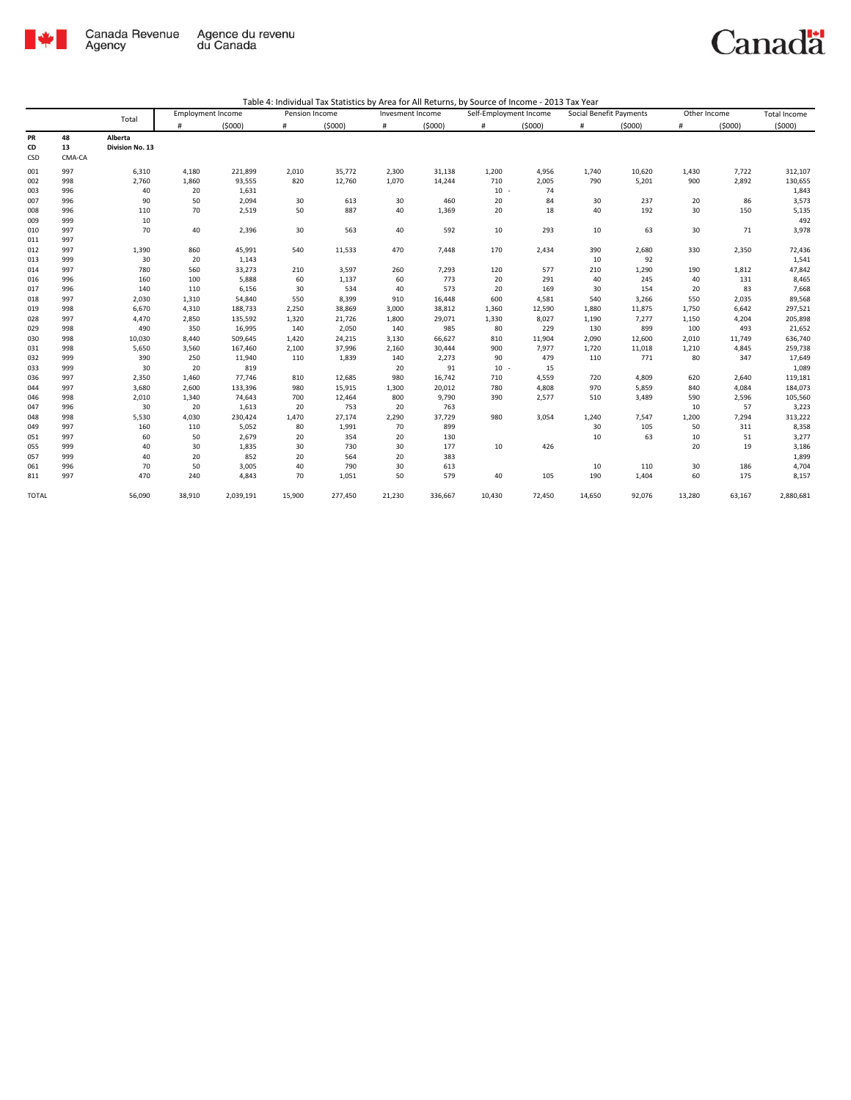

| Table 4: Individual Tax Statistics by Area for All Returns, by Source of Income - 2013 Tax Year |  |  |  |
|-------------------------------------------------------------------------------------------------|--|--|--|
|-------------------------------------------------------------------------------------------------|--|--|--|

|              |        |                 | <b>Employment Income</b> |           | Pension Income |         | Invesment Income |         | Self-Employment Income |        | Social Benefit Payments |        | Other Income |        | <b>Total Income</b> |
|--------------|--------|-----------------|--------------------------|-----------|----------------|---------|------------------|---------|------------------------|--------|-------------------------|--------|--------------|--------|---------------------|
|              |        | Total           | #                        | (5000)    | #              | (5000)  | $\#$             | (5000)  | #                      | (5000) | #                       | (5000) | #            | (5000) | (5000)              |
| PR           | 48     | Alberta         |                          |           |                |         |                  |         |                        |        |                         |        |              |        |                     |
| CD           | 13     | Division No. 13 |                          |           |                |         |                  |         |                        |        |                         |        |              |        |                     |
| CSD          | CMA-CA |                 |                          |           |                |         |                  |         |                        |        |                         |        |              |        |                     |
| 001          | 997    | 6,310           | 4,180                    | 221,899   | 2,010          | 35,772  | 2,300            | 31,138  | 1,200                  | 4,956  | 1,740                   | 10,620 | 1,430        | 7,722  | 312,107             |
| 002          | 998    | 2,760           | 1,860                    | 93,555    | 820            | 12,760  | 1,070            | 14,244  | 710                    | 2,005  | 790                     | 5,201  | 900          | 2,892  | 130,655             |
| 003          | 996    | 40              | 20                       | 1,631     |                |         |                  |         | $10 -$                 | 74     |                         |        |              |        | 1,843               |
| 007          | 996    | 90              | 50                       | 2,094     | 30             | 613     | 30               | 460     | 20                     | 84     | 30                      | 237    | 20           | 86     | 3,573               |
| 008          | 996    | 110             | 70                       | 2,519     | 50             | 887     | 40               | 1,369   | 20                     | 18     | 40                      | 192    | 30           | 150    | 5,135               |
| 009          | 999    | 10              |                          |           |                |         |                  |         |                        |        |                         |        |              |        | 492                 |
| 010          | 997    | 70              | 40                       | 2,396     | 30             | 563     | 40               | 592     | 10                     | 293    | 10                      | 63     | 30           | 71     | 3,978               |
| 011          | 997    |                 |                          |           |                |         |                  |         |                        |        |                         |        |              |        |                     |
| 012          | 997    | 1,390           | 860                      | 45,991    | 540            | 11,533  | 470              | 7,448   | 170                    | 2,434  | 390                     | 2,680  | 330          | 2,350  | 72,436              |
| 013          | 999    | 30              | 20                       | 1,143     |                |         |                  |         |                        |        | 10                      | 92     |              |        | 1,541               |
| 014          | 997    | 780             | 560                      | 33,273    | 210            | 3,597   | 260              | 7,293   | 120                    | 577    | 210                     | 1,290  | 190          | 1,812  | 47,842              |
| 016          | 996    | 160             | 100                      | 5,888     | 60             | 1,137   | 60               | 773     | 20                     | 291    | 40                      | 245    | 40           | 131    | 8,465               |
| 017          | 996    | 140             | 110                      | 6,156     | 30             | 534     | 40               | 573     | 20                     | 169    | 30                      | 154    | 20           | 83     | 7,668               |
| 018          | 997    | 2,030           | 1,310                    | 54,840    | 550            | 8,399   | 910              | 16,448  | 600                    | 4,581  | 540                     | 3,266  | 550          | 2,035  | 89,568              |
| 019          | 998    | 6,670           | 4,310                    | 188,733   | 2,250          | 38,869  | 3,000            | 38,812  | 1,360                  | 12,590 | 1,880                   | 11,875 | 1,750        | 6,642  | 297,521             |
| 028          | 997    | 4,470           | 2,850                    | 135,592   | 1,320          | 21,726  | 1,800            | 29,071  | 1,330                  | 8,027  | 1,190                   | 7,277  | 1,150        | 4,204  | 205,898             |
| 029          | 998    | 490             | 350                      | 16,995    | 140            | 2,050   | 140              | 985     | 80                     | 229    | 130                     | 899    | 100          | 493    | 21,652              |
| 030          | 998    | 10,030          | 8,440                    | 509,645   | 1,420          | 24,215  | 3,130            | 66,627  | 810                    | 11,904 | 2,090                   | 12,600 | 2,010        | 11,749 | 636,740             |
| 031          | 998    | 5,650           | 3,560                    | 167,460   | 2,100          | 37,996  | 2,160            | 30,444  | 900                    | 7,977  | 1,720                   | 11,018 | 1,210        | 4,845  | 259,738             |
| 032          | 999    | 390             | 250                      | 11,940    | 110            | 1,839   | 140              | 2,273   | 90                     | 479    | 110                     | 771    | 80           | 347    | 17,649              |
| 033          | 999    | 30              | 20                       | 819       |                |         | 20               | 91      | $10 -$                 | 15     |                         |        |              |        | 1,089               |
| 036          | 997    | 2,350           | 1,460                    | 77,746    | 810            | 12,685  | 980              | 16,742  | 710                    | 4,559  | 720                     | 4,809  | 620          | 2,640  | 119,181             |
| 044          | 997    | 3,680           | 2,600                    | 133,396   | 980            | 15,915  | 1,300            | 20,012  | 780                    | 4,808  | 970                     | 5,859  | 840          | 4,084  | 184,073             |
| 046          | 998    | 2,010           | 1,340                    | 74,643    | 700            | 12,464  | 800              | 9,790   | 390                    | 2,577  | 510                     | 3,489  | 590          | 2,596  | 105,560             |
| 047          | 996    | 30              | 20                       | 1,613     | 20             | 753     | 20               | 763     |                        |        |                         |        | 10           | 57     | 3,223               |
| 048          | 998    | 5,530           | 4,030                    | 230,424   | 1,470          | 27,174  | 2,290            | 37,729  | 980                    | 3,054  | 1,240                   | 7,547  | 1,200        | 7,294  | 313,222             |
| 049          | 997    | 160             | 110                      | 5,052     | 80             | 1,991   | 70               | 899     |                        |        | 30                      | 105    | 50           | 311    | 8,358               |
| 051          | 997    | 60              | 50                       | 2,679     | 20             | 354     | 20               | 130     |                        |        | 10                      | 63     | 10           | 51     | 3,277               |
| 055          | 999    | 40              | 30                       | 1,835     | 30             | 730     | 30               | 177     | 10                     | 426    |                         |        | 20           | 19     | 3,186               |
| 057          | 999    | 40              | 20                       | 852       | 20             | 564     | 20               | 383     |                        |        |                         |        |              |        | 1,899               |
| 061          | 996    | 70              | 50                       | 3,005     | 40             | 790     | 30               | 613     |                        |        | 10                      | 110    | 30           | 186    | 4,704               |
| 811          | 997    | 470             | 240                      | 4,843     | 70             | 1,051   | 50               | 579     | 40                     | 105    | 190                     | 1,404  | 60           | 175    | 8,157               |
| <b>TOTAL</b> |        | 56,090          | 38,910                   | 2,039,191 | 15,900         | 277,450 | 21,230           | 336,667 | 10.430                 | 72,450 | 14,650                  | 92,076 | 13,280       | 63,167 | 2,880,681           |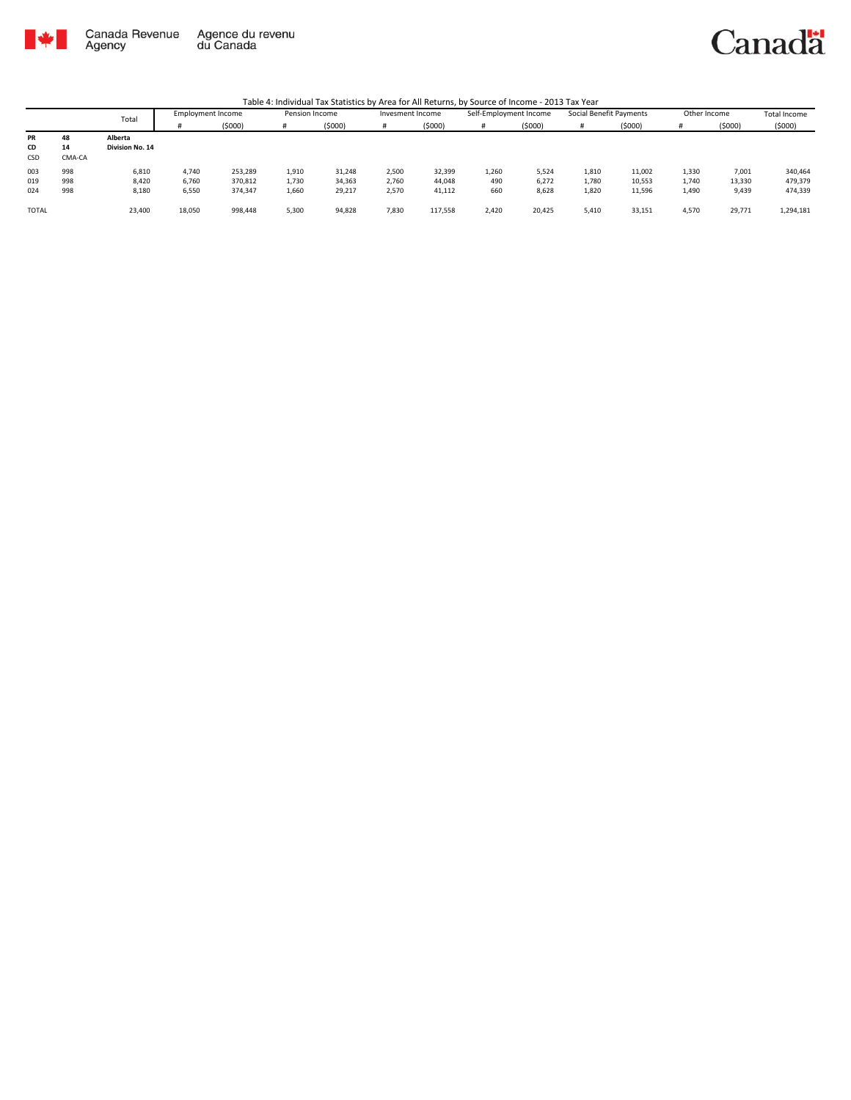

# Canadä

|              |        | Total           | Employment Income |         |       | Pension Income |       | Invesment Income |       | Self-Employment Income | Social Benefit Payments |        | Other Income |        | <b>Total Income</b> |
|--------------|--------|-----------------|-------------------|---------|-------|----------------|-------|------------------|-------|------------------------|-------------------------|--------|--------------|--------|---------------------|
|              |        |                 |                   | (5000)  | Ħ     | (5000)         |       | (5000)           | #     | (5000)                 |                         | (5000) |              | (5000) | (5000)              |
| PR           | 48     | Alberta         |                   |         |       |                |       |                  |       |                        |                         |        |              |        |                     |
| CD           | 14     | Division No. 14 |                   |         |       |                |       |                  |       |                        |                         |        |              |        |                     |
| CSD          | CMA-CA |                 |                   |         |       |                |       |                  |       |                        |                         |        |              |        |                     |
| 003          | 998    | 6,810           | 4.740             | 253,289 | 1,910 | 31,248         | 2,500 | 32,399           | 1,260 | 5.524                  | 1,810                   | 11,002 | 1,330        | 7,001  | 340,464             |
| 019          | 998    | 8,420           | 6,760             | 370,812 | 1,730 | 34,363         | 2,760 | 44,048           | 490   | 6,272                  | 1,780                   | 10,553 | 1,740        | 13,330 | 479,379             |
| 024          | 998    | 8,180           | 6,550             | 374,347 | 1,660 | 29,217         | 2,570 | 41,112           | 660   | 8,628                  | 1,820                   | 11,596 | 1,490        | 9,439  | 474,339             |
|              |        |                 |                   |         |       |                |       |                  |       |                        |                         |        |              |        |                     |
| <b>TOTAL</b> |        | 23,400          | 18,050            | 998,448 | 5,300 | 94,828         | 7,830 | 117,558          | 2,420 | 20,425                 | 5,410                   | 33,151 | 4,570        | 29,771 | 1,294,181           |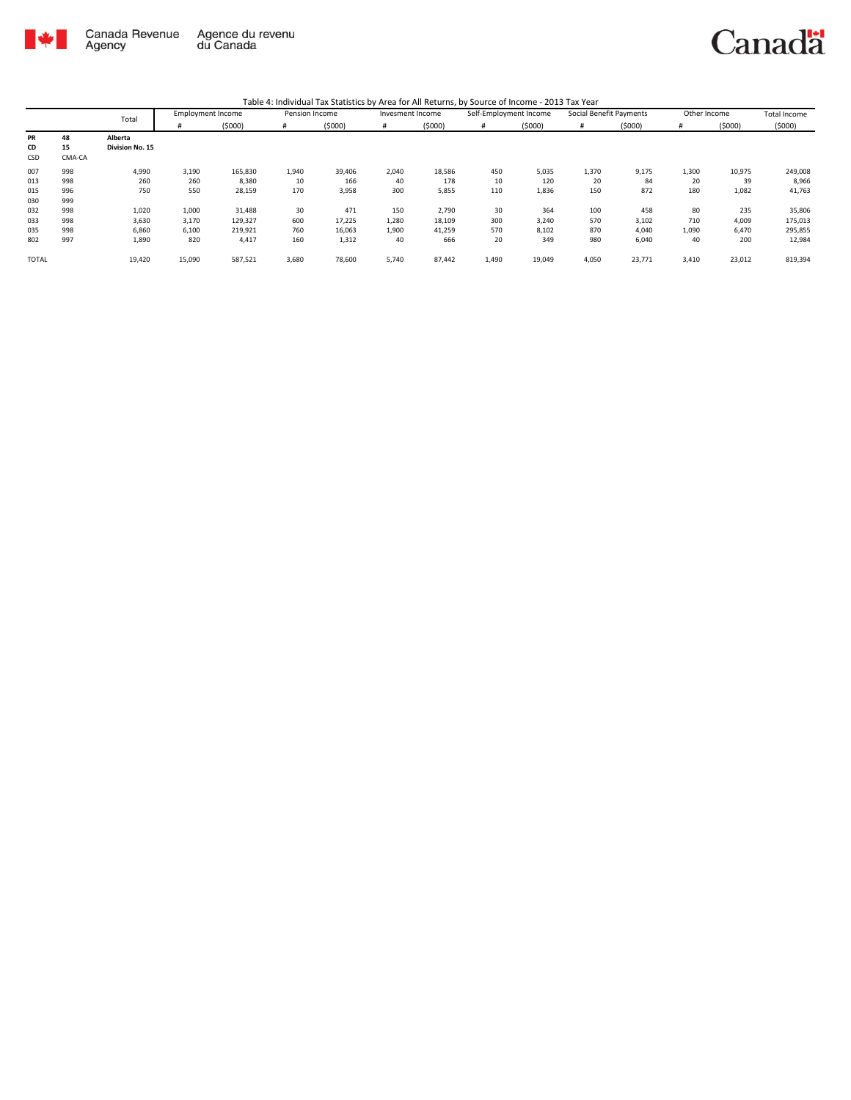

|              |        | Total           | <b>Employment Income</b> |         | Pension Income |        | Invesment Income |        | Self-Employment Income |        | Social Benefit Payments |        | Other Income |        | Total Income |
|--------------|--------|-----------------|--------------------------|---------|----------------|--------|------------------|--------|------------------------|--------|-------------------------|--------|--------------|--------|--------------|
|              |        |                 | Ħ                        | (5000)  | #              | (5000) |                  | (5000) | #                      | (5000) | #                       | (5000) | #            | (5000) | (5000)       |
| PR           | 48     | Alberta         |                          |         |                |        |                  |        |                        |        |                         |        |              |        |              |
| CD           | 15     | Division No. 15 |                          |         |                |        |                  |        |                        |        |                         |        |              |        |              |
| CSD          | CMA-CA |                 |                          |         |                |        |                  |        |                        |        |                         |        |              |        |              |
| 007          | 998    | 4,990           | 3,190                    | 165,830 | 1,940          | 39,406 | 2,040            | 18,586 | 450                    | 5,035  | 1,370                   | 9,175  | 1,300        | 10,975 | 249,008      |
| 013          | 998    | 260             | 260                      | 8,380   | 10             | 166    | 40               | 178    | 10                     | 120    | 20                      | 84     | 20           | 39     | 8,966        |
| 015          | 996    | 750             | 550                      | 28,159  | 170            | 3,958  | 300              | 5,855  | 110                    | 1,836  | 150                     | 872    | 180          | 1,082  | 41,763       |
| 030          | 999    |                 |                          |         |                |        |                  |        |                        |        |                         |        |              |        |              |
| 032          | 998    | 1,020           | 1,000                    | 31,488  | 30             | 471    | 150              | 2,790  | 30                     | 364    | 100                     | 458    | 80           | 235    | 35,806       |
| 033          | 998    | 3,630           | 3,170                    | 129,327 | 600            | 17,225 | 1,280            | 18,109 | 300                    | 3,240  | 570                     | 3,102  | 710          | 4,009  | 175,013      |
| 035          | 998    | 6,860           | 6,100                    | 219,921 | 760            | 16,063 | 1,900            | 41,259 | 570                    | 8,102  | 870                     | 4,040  | 1,090        | 6,470  | 295,855      |
| 802          | 997    | 1,890           | 820                      | 4,417   | 160            | 1,312  | 40               | 666    | 20                     | 349    | 980                     | 6,040  | 40           | 200    | 12,984       |
| <b>TOTAL</b> |        | 19,420          | 15,090                   | 587,521 | 3,680          | 78,600 | 5,740            | 87,442 | 1,490                  | 19,049 | 4,050                   | 23,771 | 3,410        | 23,012 | 819,394      |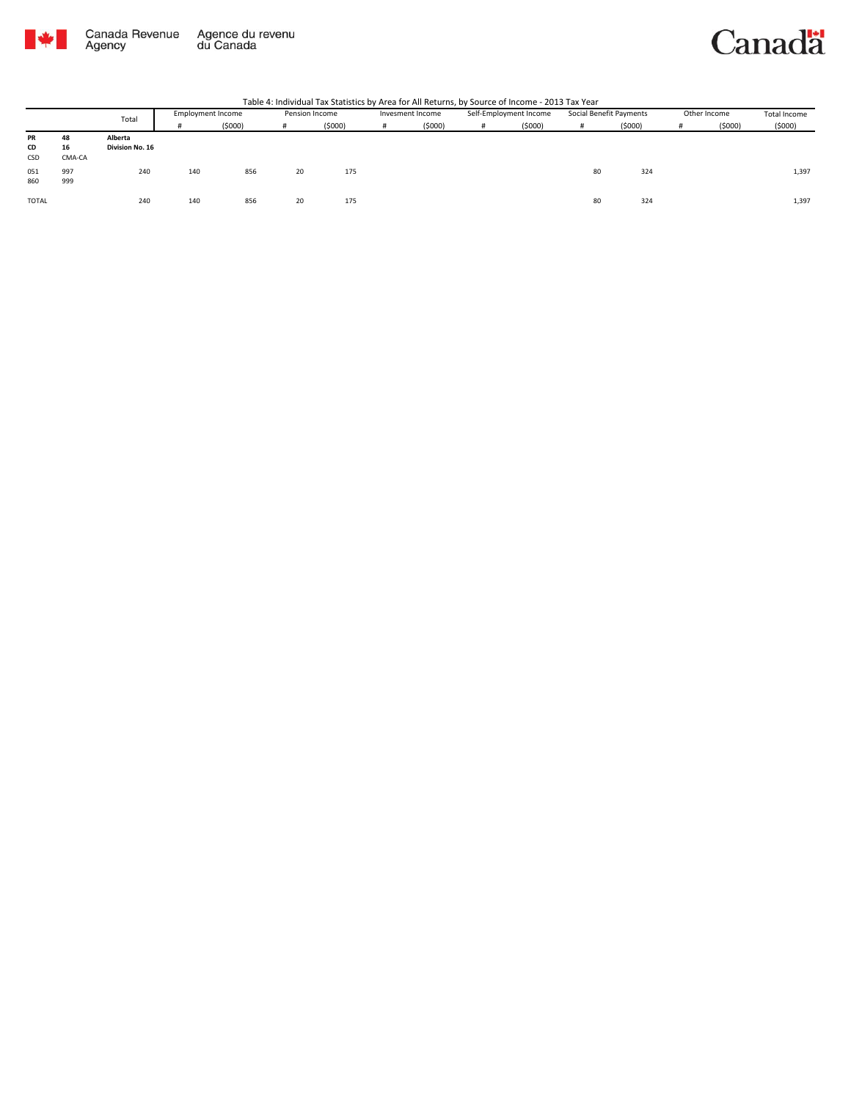

|              | Total  |                 | <b>Employment Income</b> |        |    | Pension Income |  | Invesment Income |  | Self-Employment Income | Social Benefit Payments |        |   | Other Income | Total Income |
|--------------|--------|-----------------|--------------------------|--------|----|----------------|--|------------------|--|------------------------|-------------------------|--------|---|--------------|--------------|
|              |        |                 |                          | (5000) | Ħ  | (5000)         |  | (5000)           |  | (5000)                 |                         | (5000) | # | (5000)       | (5000)       |
| PR           | 48     | Alberta         |                          |        |    |                |  |                  |  |                        |                         |        |   |              |              |
| CD           | 16     | Division No. 16 |                          |        |    |                |  |                  |  |                        |                         |        |   |              |              |
| <b>CSD</b>   | CMA-CA |                 |                          |        |    |                |  |                  |  |                        |                         |        |   |              |              |
| 051          | 997    | 240             | 140                      | 856    | 20 | 175            |  |                  |  |                        | 80                      | 324    |   |              | 1,397        |
| 860          | 999    |                 |                          |        |    |                |  |                  |  |                        |                         |        |   |              |              |
|              |        |                 |                          |        |    |                |  |                  |  |                        |                         |        |   |              |              |
| <b>TOTAL</b> |        | 240             | 140                      | 856    | 20 | 175            |  |                  |  |                        | 80                      | 324    |   |              | 1,397        |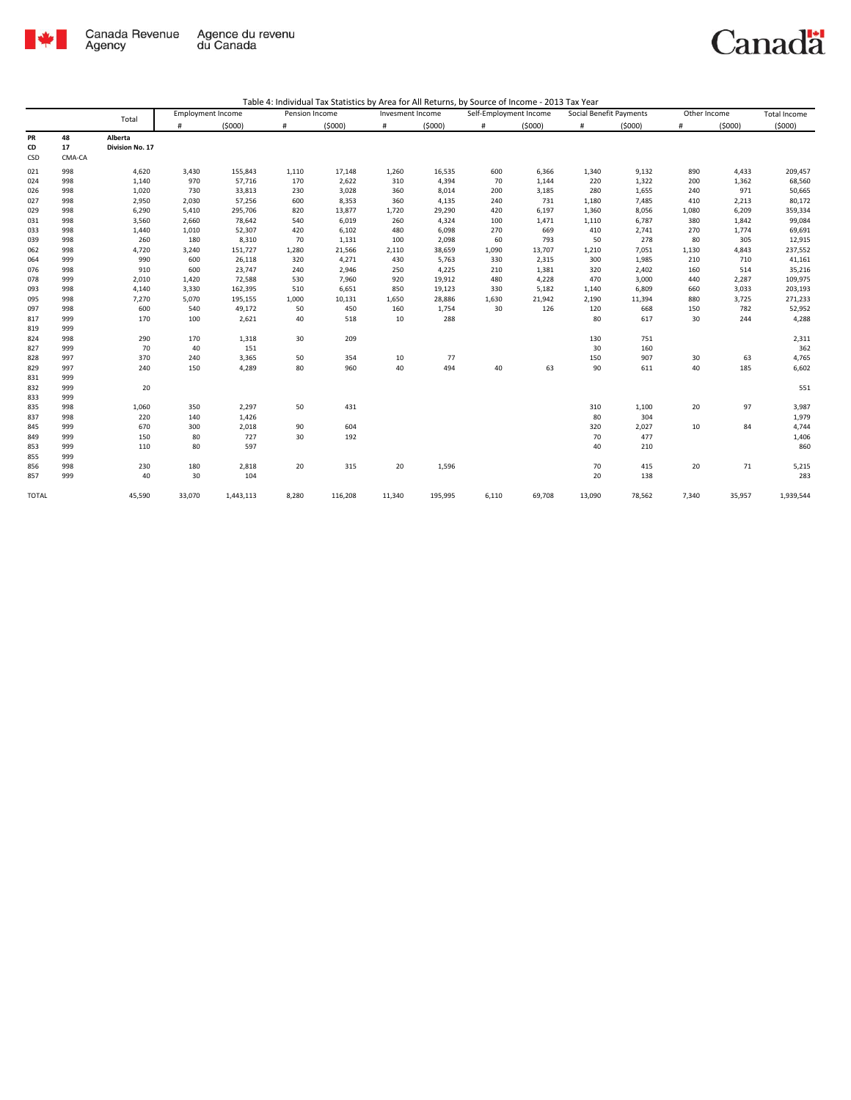

|--|

|              |        | Total           | <b>Employment Income</b> |           | Pension Income |         | Invesment Income |         |       | Self-Employment Income |        | Social Benefit Payments | Other Income |        | Total Income |
|--------------|--------|-----------------|--------------------------|-----------|----------------|---------|------------------|---------|-------|------------------------|--------|-------------------------|--------------|--------|--------------|
|              |        |                 | #                        | (5000)    | #              | (5000)  | $\#$             | (5000)  | #     | (5000)                 | #      | (5000)                  | $\#$         | (5000) | (5000)       |
| PR           | 48     | Alberta         |                          |           |                |         |                  |         |       |                        |        |                         |              |        |              |
| CD           | 17     | Division No. 17 |                          |           |                |         |                  |         |       |                        |        |                         |              |        |              |
| CSD          | CMA-CA |                 |                          |           |                |         |                  |         |       |                        |        |                         |              |        |              |
| 021          | 998    | 4,620           | 3,430                    | 155,843   | 1,110          | 17,148  | 1,260            | 16,535  | 600   | 6,366                  | 1,340  | 9,132                   | 890          | 4,433  | 209,457      |
| 024          | 998    | 1,140           | 970                      | 57,716    | 170            | 2,622   | 310              | 4,394   | 70    | 1,144                  | 220    | 1,322                   | 200          | 1,362  | 68,560       |
| 026          | 998    | 1,020           | 730                      | 33,813    | 230            | 3,028   | 360              | 8,014   | 200   | 3,185                  | 280    | 1,655                   | 240          | 971    | 50,665       |
| 027          | 998    | 2,950           | 2,030                    | 57,256    | 600            | 8,353   | 360              | 4,135   | 240   | 731                    | 1,180  | 7,485                   | 410          | 2,213  | 80,172       |
| 029          | 998    | 6,290           | 5,410                    | 295,706   | 820            | 13,877  | 1,720            | 29,290  | 420   | 6,197                  | 1,360  | 8,056                   | 1,080        | 6,209  | 359,334      |
| 031          | 998    | 3,560           | 2,660                    | 78,642    | 540            | 6,019   | 260              | 4,324   | 100   | 1,471                  | 1,110  | 6,787                   | 380          | 1,842  | 99,084       |
| 033          | 998    | 1,440           | 1,010                    | 52,307    | 420            | 6,102   | 480              | 6,098   | 270   | 669                    | 410    | 2,741                   | 270          | 1,774  | 69,691       |
| 039          | 998    | 260             | 180                      | 8,310     | 70             | 1,131   | 100              | 2,098   | 60    | 793                    | 50     | 278                     | 80           | 305    | 12,915       |
| 062          | 998    | 4,720           | 3,240                    | 151,727   | 1,280          | 21,566  | 2,110            | 38,659  | 1,090 | 13,707                 | 1,210  | 7,051                   | 1,130        | 4,843  | 237,552      |
| 064          | 999    | 990             | 600                      | 26,118    | 320            | 4,271   | 430              | 5,763   | 330   | 2,315                  | 300    | 1,985                   | 210          | 710    | 41,161       |
| 076          | 998    | 910             | 600                      | 23,747    | 240            | 2,946   | 250              | 4,225   | 210   | 1,381                  | 320    | 2,402                   | 160          | 514    | 35,216       |
| 078          | 999    | 2,010           | 1,420                    | 72,588    | 530            | 7,960   | 920              | 19,912  | 480   | 4,228                  | 470    | 3,000                   | 440          | 2,287  | 109,975      |
| 093          | 998    | 4,140           | 3,330                    | 162,395   | 510            | 6,651   | 850              | 19,123  | 330   | 5,182                  | 1,140  | 6,809                   | 660          | 3,033  | 203,193      |
| 095          | 998    | 7,270           | 5,070                    | 195,155   | 1,000          | 10,131  | 1,650            | 28,886  | 1,630 | 21,942                 | 2,190  | 11,394                  | 880          | 3,725  | 271,233      |
| 097          | 998    | 600             | 540                      | 49,172    | 50             | 450     | 160              | 1,754   | 30    | 126                    | 120    | 668                     | 150          | 782    | 52,952       |
| 817          | 999    | 170             | 100                      | 2,621     | 40             | 518     | 10               | 288     |       |                        | 80     | 617                     | 30           | 244    | 4,288        |
| 819          | 999    |                 |                          |           |                |         |                  |         |       |                        |        |                         |              |        |              |
| 824          | 998    | 290             | 170                      | 1,318     | 30             | 209     |                  |         |       |                        | 130    | 751                     |              |        | 2,311        |
| 827          | 999    | 70              | 40                       | 151       |                |         |                  |         |       |                        | 30     | 160                     |              |        | 362          |
| 828          | 997    | 370             | 240                      | 3,365     | 50             | 354     | 10               | 77      |       |                        | 150    | 907                     | 30           | 63     | 4,765        |
| 829          | 997    | 240             | 150                      | 4,289     | 80             | 960     | 40               | 494     | 40    | 63                     | 90     | 611                     | 40           | 185    | 6,602        |
| 831          | 999    |                 |                          |           |                |         |                  |         |       |                        |        |                         |              |        |              |
| 832          | 999    | 20              |                          |           |                |         |                  |         |       |                        |        |                         |              |        | 551          |
| 833          | 999    |                 |                          |           |                |         |                  |         |       |                        |        |                         |              |        |              |
| 835          | 998    | 1,060           | 350                      | 2,297     | 50             | 431     |                  |         |       |                        | 310    | 1,100                   | 20           | 97     | 3,987        |
| 837          | 998    | 220             | 140                      | 1,426     |                |         |                  |         |       |                        | 80     | 304                     |              |        | 1,979        |
| 845          | 999    | 670             | 300                      | 2,018     | 90             | 604     |                  |         |       |                        | 320    | 2,027                   | 10           | 84     | 4,744        |
| 849          | 999    | 150             | 80                       | 727       | 30             | 192     |                  |         |       |                        | 70     | 477                     |              |        | 1,406        |
| 853          | 999    | 110             | 80                       | 597       |                |         |                  |         |       |                        | 40     | 210                     |              |        | 860          |
| 855          | 999    |                 |                          |           |                |         |                  |         |       |                        |        |                         |              |        |              |
| 856          | 998    | 230             | 180                      | 2,818     | 20             | 315     | 20               | 1,596   |       |                        | 70     | 415                     | 20           | 71     | 5,215        |
| 857          | 999    | 40              | 30                       | 104       |                |         |                  |         |       |                        | 20     | 138                     |              |        | 283          |
| <b>TOTAL</b> |        | 45,590          | 33,070                   | 1,443,113 | 8,280          | 116,208 | 11,340           | 195,995 | 6,110 | 69,708                 | 13,090 | 78,562                  | 7,340        | 35,957 | 1,939,544    |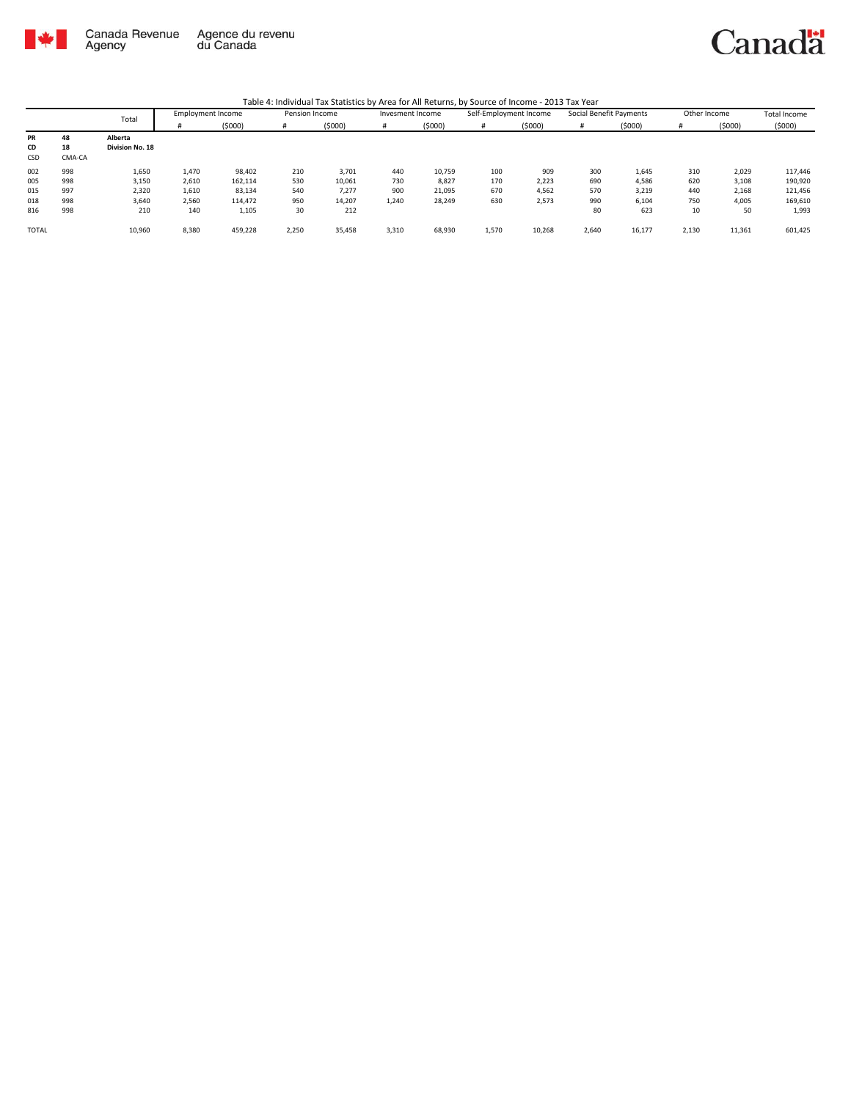

Canadä

|              |        | Total           | <b>Employment Income</b> |         | Pension Income |        | Invesment Income |        | Self-Employment Income |        | Social Benefit Payments |        | Other Income |        | Total Income |
|--------------|--------|-----------------|--------------------------|---------|----------------|--------|------------------|--------|------------------------|--------|-------------------------|--------|--------------|--------|--------------|
|              |        |                 |                          | (5000)  | #              | (5000) |                  | (5000) | #                      | (5000) | #                       | (5000) | #            | (5000) | (5000)       |
| PR           | 48     | Alberta         |                          |         |                |        |                  |        |                        |        |                         |        |              |        |              |
| CD           | 18     | Division No. 18 |                          |         |                |        |                  |        |                        |        |                         |        |              |        |              |
| CSD          | CMA-CA |                 |                          |         |                |        |                  |        |                        |        |                         |        |              |        |              |
| 002          | 998    | 1,650           | 1,470                    | 98,402  | 210            | 3,701  | 440              | 10,759 | 100                    | 909    | 300                     | 1,645  | 310          | 2,029  | 117,446      |
| 005          | 998    | 3,150           | 2,610                    | 162,114 | 530            | 10,061 | 730              | 8,827  | 170                    | 2,223  | 690                     | 4,586  | 620          | 3,108  | 190,920      |
| 015          | 997    | 2,320           | 1,610                    | 83,134  | 540            | 7,277  | 900              | 21,095 | 670                    | 4,562  | 570                     | 3,219  | 440          | 2,168  | 121,456      |
| 018          | 998    | 3,640           | 2,560                    | 114,472 | 950            | 14,207 | 1,240            | 28,249 | 630                    | 2,573  | 990                     | 6,104  | 750          | 4,005  | 169,610      |
| 816          | 998    | 210             | 140                      | 1,105   | 30             | 212    |                  |        |                        |        | 80                      | 623    | 10           | 50     | 1,993        |
| <b>TOTAL</b> |        | 10,960          | 8,380                    | 459,228 | 2,250          | 35,458 | 3,310            | 68,930 | 1,570                  | 10,268 | 2,640                   | 16,177 | 2,130        | 11,361 | 601,425      |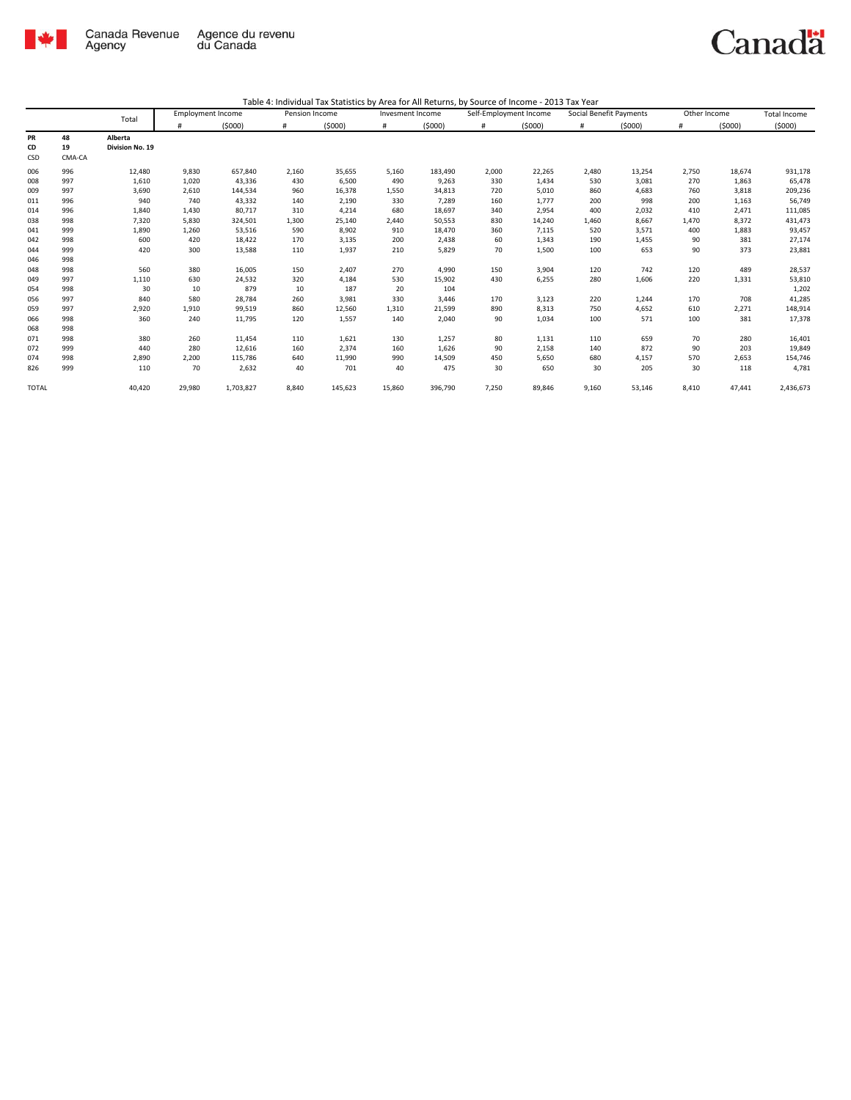

|              |        | Total           |        | <b>Employment Income</b> |       | Pension Income |        | Invesment Income |       | Self-Employment Income |       | Social Benefit Payments |       | Other Income |           |
|--------------|--------|-----------------|--------|--------------------------|-------|----------------|--------|------------------|-------|------------------------|-------|-------------------------|-------|--------------|-----------|
|              |        |                 | #      | (5000)                   | #     | (5000)         | #      | (5000)           | #     | (5000)                 | #     | (5000)                  | #     | (5000)       | (5000)    |
| PR           | 48     | Alberta         |        |                          |       |                |        |                  |       |                        |       |                         |       |              |           |
| CD           | 19     | Division No. 19 |        |                          |       |                |        |                  |       |                        |       |                         |       |              |           |
| CSD          | CMA-CA |                 |        |                          |       |                |        |                  |       |                        |       |                         |       |              |           |
| 006          | 996    | 12,480          | 9,830  | 657,840                  | 2,160 | 35,655         | 5,160  | 183,490          | 2,000 | 22,265                 | 2,480 | 13,254                  | 2,750 | 18,674       | 931,178   |
| 008          | 997    | 1,610           | 1,020  | 43,336                   | 430   | 6,500          | 490    | 9,263            | 330   | 1,434                  | 530   | 3,081                   | 270   | 1,863        | 65,478    |
| 009          | 997    | 3,690           | 2,610  | 144,534                  | 960   | 16,378         | 1.550  | 34.813           | 720   | 5,010                  | 860   | 4,683                   | 760   | 3,818        | 209,236   |
| 011          | 996    | 940             | 740    | 43,332                   | 140   | 2,190          | 330    | 7,289            | 160   | 1,777                  | 200   | 998                     | 200   | 1,163        | 56,749    |
| 014          | 996    | 1,840           | 1,430  | 80,717                   | 310   | 4,214          | 680    | 18,697           | 340   | 2,954                  | 400   | 2,032                   | 410   | 2,471        | 111,085   |
| 038          | 998    | 7,320           | 5,830  | 324,501                  | 1,300 | 25,140         | 2,440  | 50,553           | 830   | 14,240                 | 1,460 | 8,667                   | 1,470 | 8,372        | 431,473   |
| 041          | 999    | 1,890           | 1,260  | 53,516                   | 590   | 8,902          | 910    | 18,470           | 360   | 7,115                  | 520   | 3,571                   | 400   | 1,883        | 93,457    |
| 042          | 998    | 600             | 420    | 18,422                   | 170   | 3,135          | 200    | 2,438            | 60    | 1,343                  | 190   | 1,455                   | 90    | 381          | 27,174    |
| 044          | 999    | 420             | 300    | 13,588                   | 110   | 1,937          | 210    | 5,829            | 70    | 1,500                  | 100   | 653                     | 90    | 373          | 23,881    |
| 046          | 998    |                 |        |                          |       |                |        |                  |       |                        |       |                         |       |              |           |
| 048          | 998    | 560             | 380    | 16,005                   | 150   | 2,407          | 270    | 4,990            | 150   | 3,904                  | 120   | 742                     | 120   | 489          | 28,537    |
| 049          | 997    | 1,110           | 630    | 24,532                   | 320   | 4,184          | 530    | 15,902           | 430   | 6,255                  | 280   | 1,606                   | 220   | 1,331        | 53,810    |
| 054          | 998    | 30              | 10     | 879                      | 10    | 187            | 20     | 104              |       |                        |       |                         |       |              | 1,202     |
| 056          | 997    | 840             | 580    | 28,784                   | 260   | 3,981          | 330    | 3.446            | 170   | 3,123                  | 220   | 1.244                   | 170   | 708          | 41,285    |
| 059          | 997    | 2,920           | 1,910  | 99,519                   | 860   | 12,560         | 1,310  | 21,599           | 890   | 8,313                  | 750   | 4,652                   | 610   | 2,271        | 148,914   |
| 066          | 998    | 360             | 240    | 11,795                   | 120   | 1,557          | 140    | 2,040            | 90    | 1,034                  | 100   | 571                     | 100   | 381          | 17,378    |
| 068          | 998    |                 |        |                          |       |                |        |                  |       |                        |       |                         |       |              |           |
| 071          | 998    | 380             | 260    | 11,454                   | 110   | 1,621          | 130    | 1,257            | 80    | 1,131                  | 110   | 659                     | 70    | 280          | 16,401    |
| 072          | 999    | 440             | 280    | 12,616                   | 160   | 2,374          | 160    | 1,626            | 90    | 2,158                  | 140   | 872                     | 90    | 203          | 19,849    |
| 074          | 998    | 2,890           | 2,200  | 115,786                  | 640   | 11,990         | 990    | 14,509           | 450   | 5,650                  | 680   | 4,157                   | 570   | 2,653        | 154,746   |
| 826          | 999    | 110             | 70     | 2,632                    | 40    | 701            | 40     | 475              | 30    | 650                    | 30    | 205                     | 30    | 118          | 4,781     |
| <b>TOTAL</b> |        | 40,420          | 29,980 | 1,703,827                | 8,840 | 145,623        | 15,860 | 396,790          | 7,250 | 89,846                 | 9,160 | 53,146                  | 8,410 | 47,441       | 2,436,673 |